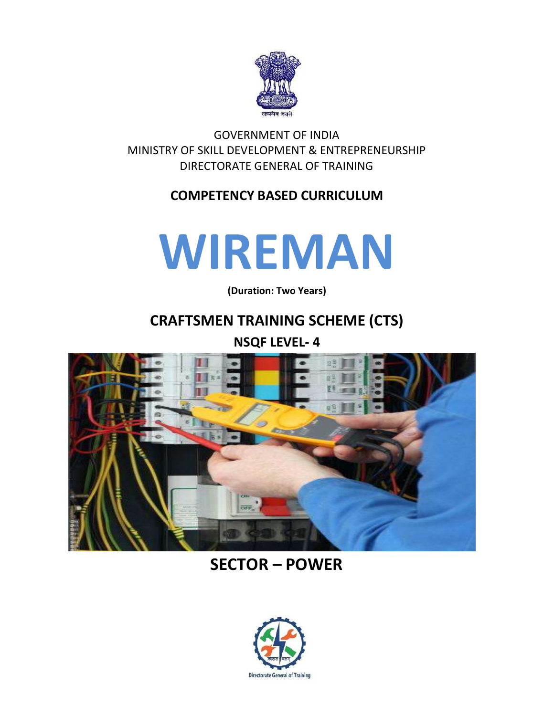

GOVERNMENT OF INDIA MINISTRY OF SKILL DEVELOPMENT & ENTREPRENEURSHIP DIRECTORATE GENERAL OF TRAINING

### **COMPETENCY BASED CURRICULUM**

# **WIREMAN**

**(Duration: Two Years)**

## **CRAFTSMEN TRAINING SCHEME (CTS)**

**NSQF LEVEL- 4**



## **SECTOR – POWER**

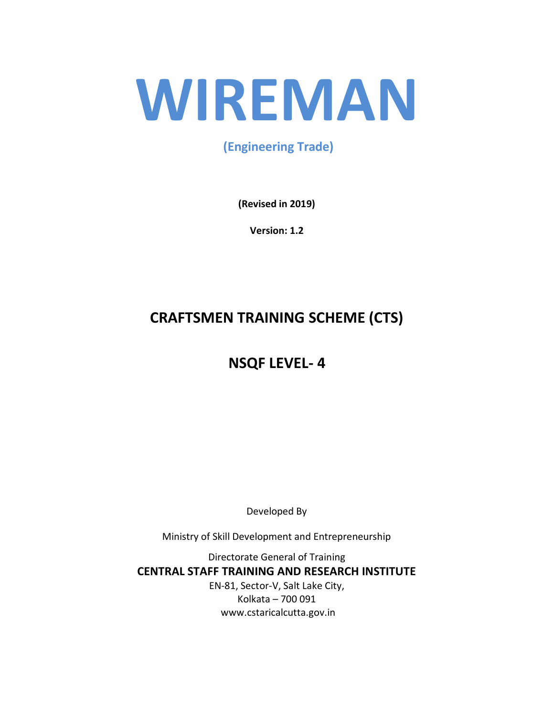# **WIREMAN**

**(Engineering Trade)**

**(Revised in 2019)**

**Version: 1.2**

# **CRAFTSMEN TRAINING SCHEME (CTS)**

# **NSQF LEVEL- 4**

Developed By

Ministry of Skill Development and Entrepreneurship

Directorate General of Training **CENTRAL STAFF TRAINING AND RESEARCH INSTITUTE** EN-81, Sector-V, Salt Lake City, Kolkata – 700 091 www.cstaricalcutta.gov.in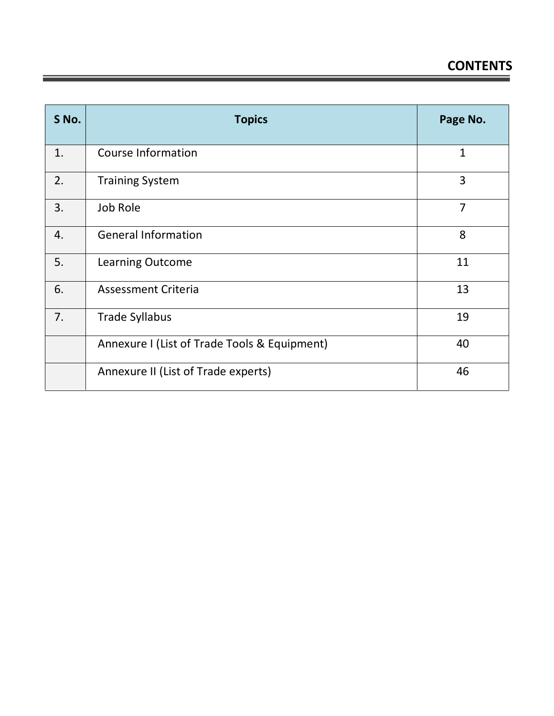| S No. | <b>Topics</b>                                | Page No.       |
|-------|----------------------------------------------|----------------|
| 1.    | <b>Course Information</b>                    | 1              |
| 2.    | <b>Training System</b>                       | 3              |
| 3.    | Job Role                                     | $\overline{7}$ |
| 4.    | <b>General Information</b>                   | 8              |
| 5.    | Learning Outcome                             | 11             |
| 6.    | <b>Assessment Criteria</b>                   | 13             |
| 7.    | <b>Trade Syllabus</b>                        | 19             |
|       | Annexure I (List of Trade Tools & Equipment) | 40             |
|       | Annexure II (List of Trade experts)          | 46             |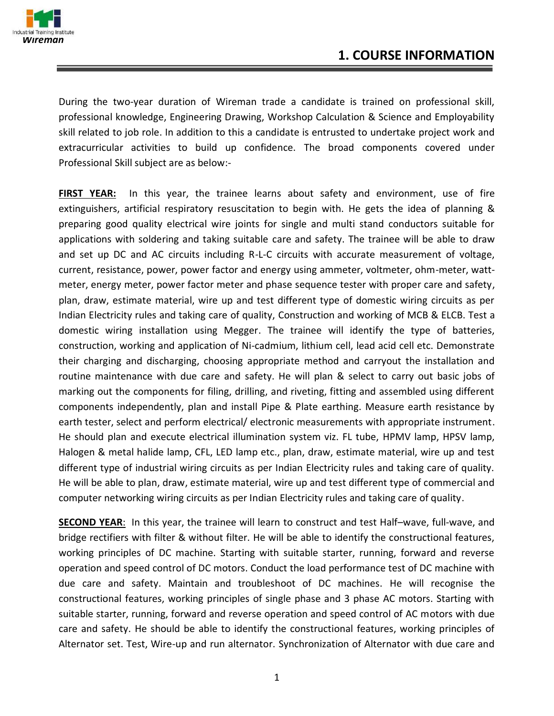

During the two-year duration of Wireman trade a candidate is trained on professional skill, professional knowledge, Engineering Drawing, Workshop Calculation & Science and Employability skill related to job role. In addition to this a candidate is entrusted to undertake project work and extracurricular activities to build up confidence. The broad components covered under Professional Skill subject are as below:-

**FIRST YEAR:** In this year, the trainee learns about safety and environment, use of fire extinguishers, artificial respiratory resuscitation to begin with. He gets the idea of planning & preparing good quality electrical wire joints for single and multi stand conductors suitable for applications with soldering and taking suitable care and safety. The trainee will be able to draw and set up DC and AC circuits including R-L-C circuits with accurate measurement of voltage, current, resistance, power, power factor and energy using ammeter, voltmeter, ohm-meter, wattmeter, energy meter, power factor meter and phase sequence tester with proper care and safety, plan, draw, estimate material, wire up and test different type of domestic wiring circuits as per Indian Electricity rules and taking care of quality, Construction and working of MCB & ELCB. Test a domestic wiring installation using Megger. The trainee will identify the type of batteries, construction, working and application of Ni-cadmium, lithium cell, lead acid cell etc. Demonstrate their charging and discharging, choosing appropriate method and carryout the installation and routine maintenance with due care and safety. He will plan & select to carry out basic jobs of marking out the components for filing, drilling, and riveting, fitting and assembled using different components independently, plan and install Pipe & Plate earthing. Measure earth resistance by earth tester, select and perform electrical/ electronic measurements with appropriate instrument. He should plan and execute electrical illumination system viz. FL tube, HPMV lamp, HPSV lamp, Halogen & metal halide lamp, CFL, LED lamp etc., plan, draw, estimate material, wire up and test different type of industrial wiring circuits as per Indian Electricity rules and taking care of quality. He will be able to plan, draw, estimate material, wire up and test different type of commercial and computer networking wiring circuits as per Indian Electricity rules and taking care of quality.

**SECOND YEAR**: In this year, the trainee will learn to construct and test Half–wave, full-wave, and bridge rectifiers with filter & without filter. He will be able to identify the constructional features, working principles of DC machine. Starting with suitable starter, running, forward and reverse operation and speed control of DC motors. Conduct the load performance test of DC machine with due care and safety. Maintain and troubleshoot of DC machines. He will recognise the constructional features, working principles of single phase and 3 phase AC motors. Starting with suitable starter, running, forward and reverse operation and speed control of AC motors with due care and safety. He should be able to identify the constructional features, working principles of Alternator set. Test, Wire-up and run alternator. Synchronization of Alternator with due care and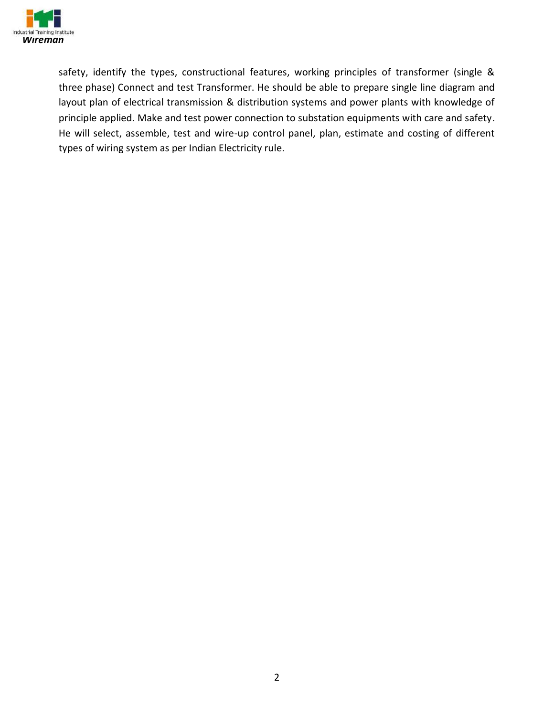

safety, identify the types, constructional features, working principles of transformer (single & three phase) Connect and test Transformer. He should be able to prepare single line diagram and layout plan of electrical transmission & distribution systems and power plants with knowledge of principle applied. Make and test power connection to substation equipments with care and safety. He will select, assemble, test and wire-up control panel, plan, estimate and costing of different types of wiring system as per Indian Electricity rule.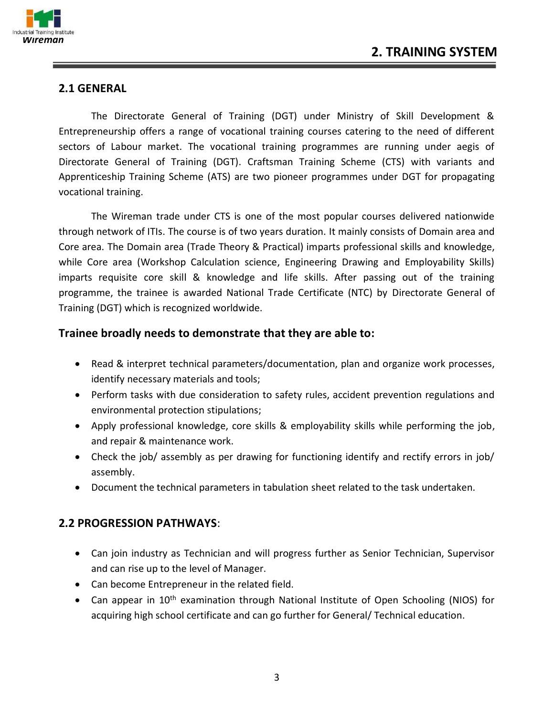

#### **2.1 GENERAL**

The Directorate General of Training (DGT) under Ministry of Skill Development & Entrepreneurship offers a range of vocational training courses catering to the need of different sectors of Labour market. The vocational training programmes are running under aegis of Directorate General of Training (DGT). Craftsman Training Scheme (CTS) with variants and Apprenticeship Training Scheme (ATS) are two pioneer programmes under DGT for propagating vocational training.

The Wireman trade under CTS is one of the most popular courses delivered nationwide through network of ITIs. The course is of two years duration. It mainly consists of Domain area and Core area. The Domain area (Trade Theory & Practical) imparts professional skills and knowledge, while Core area (Workshop Calculation science, Engineering Drawing and Employability Skills) imparts requisite core skill & knowledge and life skills. After passing out of the training programme, the trainee is awarded National Trade Certificate (NTC) by Directorate General of Training (DGT) which is recognized worldwide.

#### **Trainee broadly needs to demonstrate that they are able to:**

- Read & interpret technical parameters/documentation, plan and organize work processes, identify necessary materials and tools;
- Perform tasks with due consideration to safety rules, accident prevention regulations and environmental protection stipulations;
- Apply professional knowledge, core skills & employability skills while performing the job, and repair & maintenance work.
- Check the job/ assembly as per drawing for functioning identify and rectify errors in job/ assembly.
- Document the technical parameters in tabulation sheet related to the task undertaken.

#### **2.2 PROGRESSION PATHWAYS**:

- Can join industry as Technician and will progress further as Senior Technician, Supervisor and can rise up to the level of Manager.
- Can become Entrepreneur in the related field.
- Can appear in 10<sup>th</sup> examination through National Institute of Open Schooling (NIOS) for acquiring high school certificate and can go further for General/ Technical education.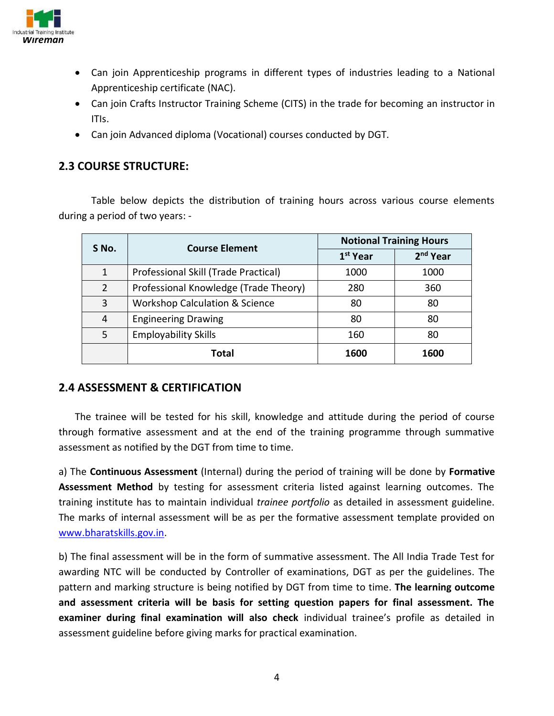

- Can join Apprenticeship programs in different types of industries leading to a National Apprenticeship certificate (NAC).
- Can join Crafts Instructor Training Scheme (CITS) in the trade for becoming an instructor in ITIs.
- Can join Advanced diploma (Vocational) courses conducted by DGT*.*

#### **2.3 COURSE STRUCTURE:**

Table below depicts the distribution of training hours across various course elements during a period of two years: -

| S No.          | <b>Course Element</b>                     | <b>Notional Training Hours</b> |                      |  |
|----------------|-------------------------------------------|--------------------------------|----------------------|--|
|                |                                           | 1 <sup>st</sup> Year           | 2 <sup>nd</sup> Year |  |
| 1              | Professional Skill (Trade Practical)      | 1000                           | 1000                 |  |
| $\overline{2}$ | Professional Knowledge (Trade Theory)     | 280                            | 360                  |  |
| 3              | <b>Workshop Calculation &amp; Science</b> | 80                             | 80                   |  |
| 4              | <b>Engineering Drawing</b>                | 80                             | 80                   |  |
| 5              | <b>Employability Skills</b>               | 160                            | 80                   |  |
|                | Total                                     | 1600                           | 1600                 |  |

#### **2.4 ASSESSMENT & CERTIFICATION**

The trainee will be tested for his skill, knowledge and attitude during the period of course through formative assessment and at the end of the training programme through summative assessment as notified by the DGT from time to time.

a) The **Continuous Assessment** (Internal) during the period of training will be done by **Formative Assessment Method** by testing for assessment criteria listed against learning outcomes. The training institute has to maintain individual *trainee portfolio* as detailed in assessment guideline. The marks of internal assessment will be as per the formative assessment template provided on [www.bharatskills.gov.in.](http://www.bharatskills.gov.in/)

b) The final assessment will be in the form of summative assessment. The All India Trade Test for awarding NTC will be conducted by Controller of examinations, DGT as per the guidelines. The pattern and marking structure is being notified by DGT from time to time. **The learning outcome and assessment criteria will be basis for setting question papers for final assessment. The examiner during final examination will also check** individual trainee's profile as detailed in assessment guideline before giving marks for practical examination.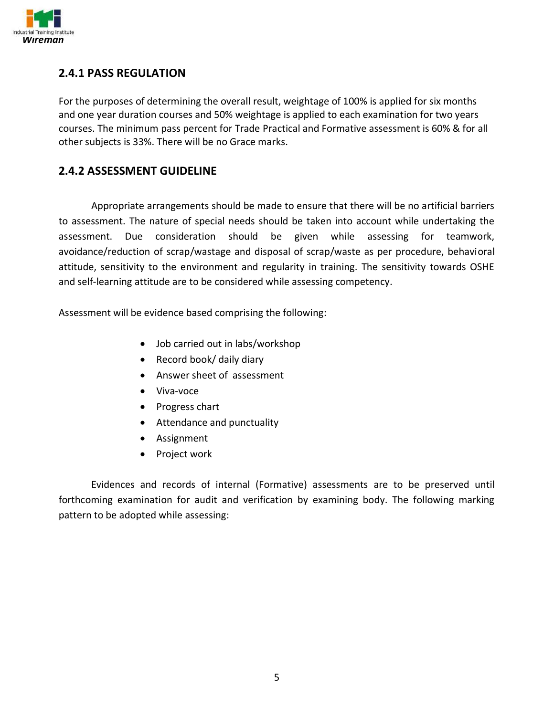

#### **2.4.1 PASS REGULATION**

For the purposes of determining the overall result, weightage of 100% is applied for six months and one year duration courses and 50% weightage is applied to each examination for two years courses. The minimum pass percent for Trade Practical and Formative assessment is 60% & for all other subjects is 33%. There will be no Grace marks.

#### **2.4.2 ASSESSMENT GUIDELINE**

Appropriate arrangements should be made to ensure that there will be no artificial barriers to assessment. The nature of special needs should be taken into account while undertaking the assessment. Due consideration should be given while assessing for teamwork, avoidance/reduction of scrap/wastage and disposal of scrap/waste as per procedure, behavioral attitude, sensitivity to the environment and regularity in training. The sensitivity towards OSHE and self-learning attitude are to be considered while assessing competency.

Assessment will be evidence based comprising the following:

- Job carried out in labs/workshop
- Record book/ daily diary
- Answer sheet of assessment
- Viva-voce
- Progress chart
- Attendance and punctuality
- Assignment
- Project work

Evidences and records of internal (Formative) assessments are to be preserved until forthcoming examination for audit and verification by examining body. The following marking pattern to be adopted while assessing: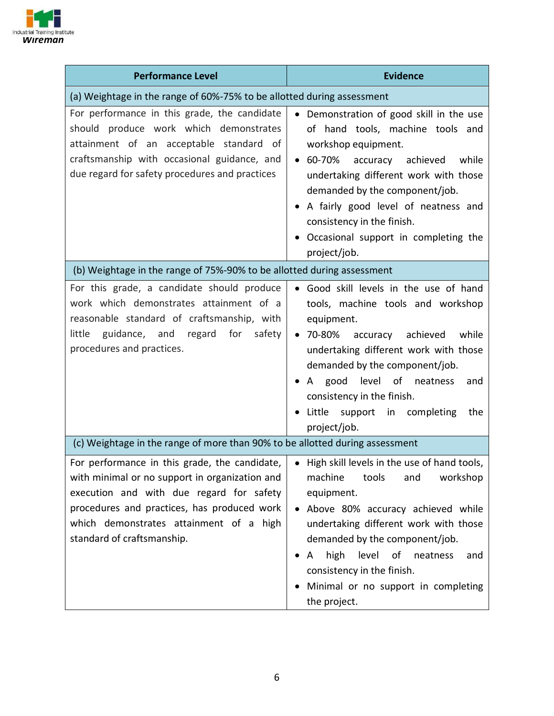

| <b>Performance Level</b>                                                                                                                                                                                                                                                                                                              | <b>Evidence</b>                                                                                                                                                                                                                                                                                                                                         |
|---------------------------------------------------------------------------------------------------------------------------------------------------------------------------------------------------------------------------------------------------------------------------------------------------------------------------------------|---------------------------------------------------------------------------------------------------------------------------------------------------------------------------------------------------------------------------------------------------------------------------------------------------------------------------------------------------------|
| (a) Weightage in the range of 60%-75% to be allotted during assessment                                                                                                                                                                                                                                                                |                                                                                                                                                                                                                                                                                                                                                         |
| For performance in this grade, the candidate<br>should produce work which demonstrates<br>attainment of an acceptable standard of<br>craftsmanship with occasional guidance, and<br>due regard for safety procedures and practices                                                                                                    | • Demonstration of good skill in the use<br>of hand tools, machine tools and<br>workshop equipment.<br>$• 60-70%$<br>accuracy achieved<br>while<br>undertaking different work with those<br>demanded by the component/job.<br>A fairly good level of neatness and<br>consistency in the finish.<br>Occasional support in completing the<br>project/job. |
| (b) Weightage in the range of 75%-90% to be allotted during assessment                                                                                                                                                                                                                                                                |                                                                                                                                                                                                                                                                                                                                                         |
| For this grade, a candidate should produce<br>work which demonstrates attainment of a<br>reasonable standard of craftsmanship, with<br>guidance, and regard for<br>little<br>safety<br>procedures and practices.                                                                                                                      | • Good skill levels in the use of hand<br>tools, machine tools and workshop<br>equipment.<br>• 70-80% accuracy<br>achieved<br>while<br>undertaking different work with those<br>demanded by the component/job.<br>good level of neatness<br>and<br>A<br>consistency in the finish.<br>Little<br>support<br>in completing<br>the<br>project/job.         |
| (c) Weightage in the range of more than 90% to be allotted during assessment                                                                                                                                                                                                                                                          |                                                                                                                                                                                                                                                                                                                                                         |
| For performance in this grade, the candidate, $\vert \bullet \vert$ High skill levels in the use of hand tools,<br>with minimal or no support in organization and<br>execution and with due regard for safety<br>procedures and practices, has produced work<br>which demonstrates attainment of a high<br>standard of craftsmanship. | machine<br>workshop<br>tools<br>and<br>equipment.<br>Above 80% accuracy achieved while<br>undertaking different work with those<br>demanded by the component/job.<br>high level of neatness<br>A<br>and<br>٠<br>consistency in the finish.<br>Minimal or no support in completing<br>the project.                                                       |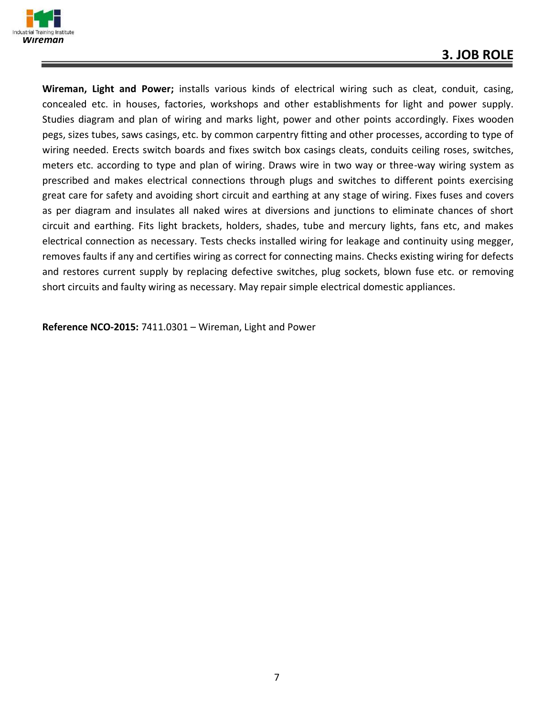

**Wireman, Light and Power;** installs various kinds of electrical wiring such as cleat, conduit, casing, concealed etc. in houses, factories, workshops and other establishments for light and power supply. Studies diagram and plan of wiring and marks light, power and other points accordingly. Fixes wooden pegs, sizes tubes, saws casings, etc. by common carpentry fitting and other processes, according to type of wiring needed. Erects switch boards and fixes switch box casings cleats, conduits ceiling roses, switches, meters etc. according to type and plan of wiring. Draws wire in two way or three-way wiring system as prescribed and makes electrical connections through plugs and switches to different points exercising great care for safety and avoiding short circuit and earthing at any stage of wiring. Fixes fuses and covers as per diagram and insulates all naked wires at diversions and junctions to eliminate chances of short circuit and earthing. Fits light brackets, holders, shades, tube and mercury lights, fans etc, and makes electrical connection as necessary. Tests checks installed wiring for leakage and continuity using megger, removes faults if any and certifies wiring as correct for connecting mains. Checks existing wiring for defects and restores current supply by replacing defective switches, plug sockets, blown fuse etc. or removing short circuits and faulty wiring as necessary. May repair simple electrical domestic appliances.

**Reference NCO-2015:** 7411.0301 – Wireman, Light and Power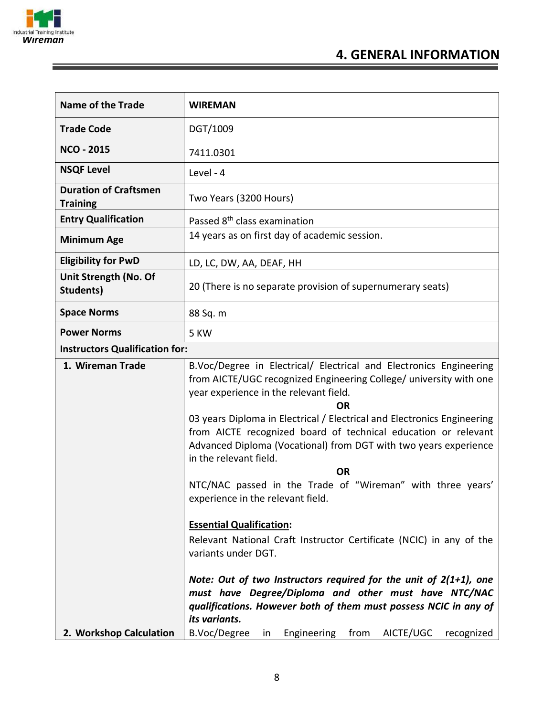

ĩ

### **4. GENERAL INFORMATION**

| <b>Name of the Trade</b>                        | <b>WIREMAN</b>                                                                                                                                                                                                                          |
|-------------------------------------------------|-----------------------------------------------------------------------------------------------------------------------------------------------------------------------------------------------------------------------------------------|
| <b>Trade Code</b>                               | DGT/1009                                                                                                                                                                                                                                |
| <b>NCO - 2015</b>                               | 7411.0301                                                                                                                                                                                                                               |
| <b>NSQF Level</b>                               | Level - 4                                                                                                                                                                                                                               |
| <b>Duration of Craftsmen</b><br><b>Training</b> | Two Years (3200 Hours)                                                                                                                                                                                                                  |
| <b>Entry Qualification</b>                      | Passed 8 <sup>th</sup> class examination                                                                                                                                                                                                |
| <b>Minimum Age</b>                              | 14 years as on first day of academic session.                                                                                                                                                                                           |
| <b>Eligibility for PwD</b>                      | LD, LC, DW, AA, DEAF, HH                                                                                                                                                                                                                |
| Unit Strength (No. Of<br><b>Students)</b>       | 20 (There is no separate provision of supernumerary seats)                                                                                                                                                                              |
| <b>Space Norms</b>                              | 88 Sq. m                                                                                                                                                                                                                                |
| <b>Power Norms</b>                              | 5 KW                                                                                                                                                                                                                                    |
| <b>Instructors Qualification for:</b>           |                                                                                                                                                                                                                                         |
| 1. Wireman Trade                                | B.Voc/Degree in Electrical/ Electrical and Electronics Engineering<br>from AICTE/UGC recognized Engineering College/ university with one<br>year experience in the relevant field.<br><b>OR</b>                                         |
|                                                 | 03 years Diploma in Electrical / Electrical and Electronics Engineering<br>from AICTE recognized board of technical education or relevant<br>Advanced Diploma (Vocational) from DGT with two years experience<br>in the relevant field. |
|                                                 | <b>OR</b>                                                                                                                                                                                                                               |
|                                                 | NTC/NAC passed in the Trade of "Wireman" with three years'<br>experience in the relevant field.                                                                                                                                         |
|                                                 | <b>Essential Qualification:</b>                                                                                                                                                                                                         |
|                                                 | Relevant National Craft Instructor Certificate (NCIC) in any of the                                                                                                                                                                     |
|                                                 | variants under DGT.                                                                                                                                                                                                                     |
|                                                 | Note: Out of two Instructors required for the unit of $2(1+1)$ , one                                                                                                                                                                    |
|                                                 | must have Degree/Diploma and other must have NTC/NAC                                                                                                                                                                                    |
|                                                 | qualifications. However both of them must possess NCIC in any of                                                                                                                                                                        |
|                                                 | its variants.                                                                                                                                                                                                                           |
| 2. Workshop Calculation                         | AICTE/UGC<br>B.Voc/Degree<br>from<br>Engineering<br>recognized<br>in                                                                                                                                                                    |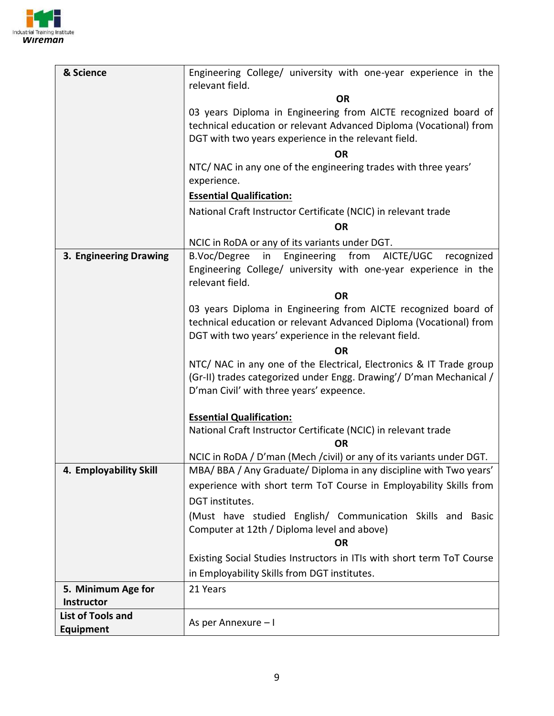

| & Science                                     | Engineering College/ university with one-year experience in the        |  |  |
|-----------------------------------------------|------------------------------------------------------------------------|--|--|
|                                               | relevant field.<br><b>OR</b>                                           |  |  |
|                                               | 03 years Diploma in Engineering from AICTE recognized board of         |  |  |
|                                               | technical education or relevant Advanced Diploma (Vocational) from     |  |  |
|                                               | DGT with two years experience in the relevant field.                   |  |  |
|                                               | <b>OR</b>                                                              |  |  |
|                                               | NTC/ NAC in any one of the engineering trades with three years'        |  |  |
|                                               | experience.                                                            |  |  |
|                                               | <b>Essential Qualification:</b>                                        |  |  |
|                                               | National Craft Instructor Certificate (NCIC) in relevant trade         |  |  |
|                                               | <b>OR</b>                                                              |  |  |
|                                               | NCIC in RoDA or any of its variants under DGT.                         |  |  |
| 3. Engineering Drawing                        | Engineering from<br>B.Voc/Degree<br>in<br>AICTE/UGC<br>recognized      |  |  |
|                                               | Engineering College/ university with one-year experience in the        |  |  |
|                                               | relevant field.<br><b>OR</b>                                           |  |  |
|                                               | 03 years Diploma in Engineering from AICTE recognized board of         |  |  |
|                                               | technical education or relevant Advanced Diploma (Vocational) from     |  |  |
|                                               | DGT with two years' experience in the relevant field.                  |  |  |
|                                               | OR                                                                     |  |  |
|                                               | NTC/ NAC in any one of the Electrical, Electronics & IT Trade group    |  |  |
|                                               | (Gr-II) trades categorized under Engg. Drawing'/ D'man Mechanical /    |  |  |
|                                               | D'man Civil' with three years' expeence.                               |  |  |
|                                               | <b>Essential Qualification:</b>                                        |  |  |
|                                               | National Craft Instructor Certificate (NCIC) in relevant trade         |  |  |
|                                               | <b>OR</b>                                                              |  |  |
|                                               | NCIC in RoDA / D'man (Mech / civil) or any of its variants under DGT.  |  |  |
| 4. Employability Skill                        | MBA/BBA/Any Graduate/Diploma in any discipline with Two years'         |  |  |
|                                               | experience with short term ToT Course in Employability Skills from     |  |  |
|                                               | DGT institutes.                                                        |  |  |
|                                               | (Must have studied English/ Communication Skills and Basic             |  |  |
|                                               | Computer at 12th / Diploma level and above)                            |  |  |
|                                               | <b>OR</b>                                                              |  |  |
|                                               | Existing Social Studies Instructors in ITIs with short term ToT Course |  |  |
|                                               | in Employability Skills from DGT institutes.                           |  |  |
| 5. Minimum Age for                            | 21 Years                                                               |  |  |
| <b>Instructor</b><br><b>List of Tools and</b> |                                                                        |  |  |
| <b>Equipment</b>                              | As per Annexure - I                                                    |  |  |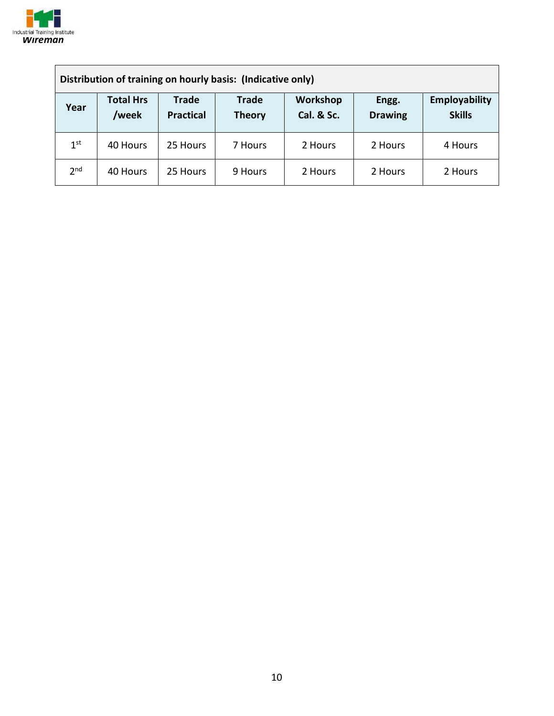

| Distribution of training on hourly basis: (Indicative only) |                           |                                  |                               |                        |                         |                                |
|-------------------------------------------------------------|---------------------------|----------------------------------|-------------------------------|------------------------|-------------------------|--------------------------------|
| Year                                                        | <b>Total Hrs</b><br>/week | <b>Trade</b><br><b>Practical</b> | <b>Trade</b><br><b>Theory</b> | Workshop<br>Cal. & Sc. | Engg.<br><b>Drawing</b> | Employability<br><b>Skills</b> |
| 1 <sup>st</sup>                                             | 40 Hours                  | 25 Hours                         | 7 Hours                       | 2 Hours                | 2 Hours                 | 4 Hours                        |
| 2 <sub>nd</sub>                                             | 40 Hours                  | 25 Hours                         | 9 Hours                       | 2 Hours                | 2 Hours                 | 2 Hours                        |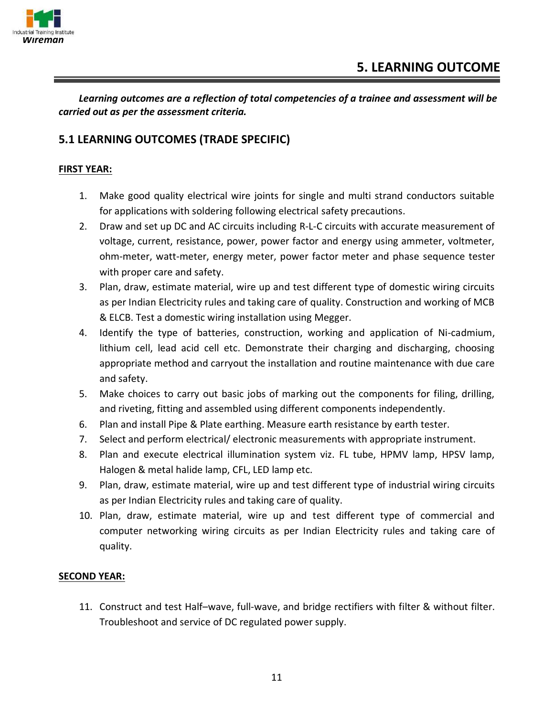

*Learning outcomes are a reflection of total competencies of a trainee and assessment will be carried out as per the assessment criteria.*

#### **5.1 LEARNING OUTCOMES (TRADE SPECIFIC)**

#### **FIRST YEAR:**

- 1. Make good quality electrical wire joints for single and multi strand conductors suitable for applications with soldering following electrical safety precautions.
- 2. Draw and set up DC and AC circuits including R-L-C circuits with accurate measurement of voltage, current, resistance, power, power factor and energy using ammeter, voltmeter, ohm-meter, watt-meter, energy meter, power factor meter and phase sequence tester with proper care and safety.
- 3. Plan, draw, estimate material, wire up and test different type of domestic wiring circuits as per Indian Electricity rules and taking care of quality. Construction and working of MCB & ELCB. Test a domestic wiring installation using Megger.
- 4. Identify the type of batteries, construction, working and application of Ni-cadmium, lithium cell, lead acid cell etc. Demonstrate their charging and discharging, choosing appropriate method and carryout the installation and routine maintenance with due care and safety.
- 5. Make choices to carry out basic jobs of marking out the components for filing, drilling, and riveting, fitting and assembled using different components independently.
- 6. Plan and install Pipe & Plate earthing. Measure earth resistance by earth tester.
- 7. Select and perform electrical/ electronic measurements with appropriate instrument.
- 8. Plan and execute electrical illumination system viz. FL tube, HPMV lamp, HPSV lamp, Halogen & metal halide lamp, CFL, LED lamp etc.
- 9. Plan, draw, estimate material, wire up and test different type of industrial wiring circuits as per Indian Electricity rules and taking care of quality.
- 10. Plan, draw, estimate material, wire up and test different type of commercial and computer networking wiring circuits as per Indian Electricity rules and taking care of quality.

#### **SECOND YEAR:**

11. Construct and test Half–wave, full-wave, and bridge rectifiers with filter & without filter. Troubleshoot and service of DC regulated power supply.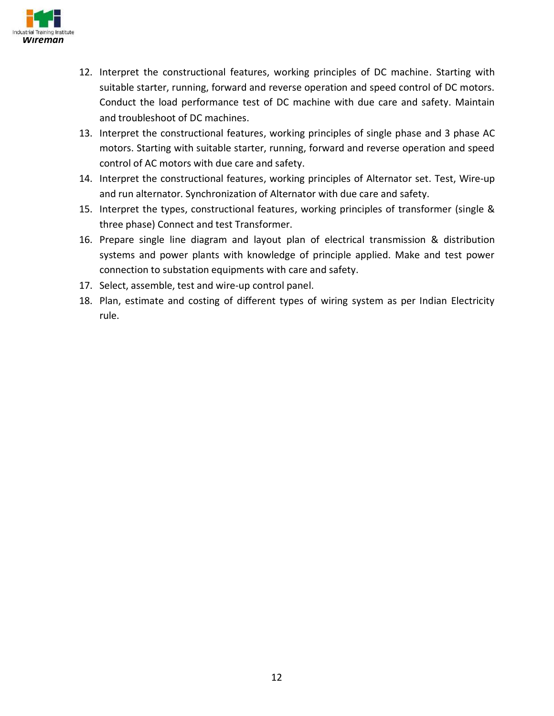

- 12. Interpret the constructional features, working principles of DC machine. Starting with suitable starter, running, forward and reverse operation and speed control of DC motors. Conduct the load performance test of DC machine with due care and safety. Maintain and troubleshoot of DC machines.
- 13. Interpret the constructional features, working principles of single phase and 3 phase AC motors. Starting with suitable starter, running, forward and reverse operation and speed control of AC motors with due care and safety.
- 14. Interpret the constructional features, working principles of Alternator set. Test, Wire-up and run alternator. Synchronization of Alternator with due care and safety.
- 15. Interpret the types, constructional features, working principles of transformer (single & three phase) Connect and test Transformer.
- 16. Prepare single line diagram and layout plan of electrical transmission & distribution systems and power plants with knowledge of principle applied. Make and test power connection to substation equipments with care and safety.
- 17. Select, assemble, test and wire-up control panel.
- 18. Plan, estimate and costing of different types of wiring system as per Indian Electricity rule.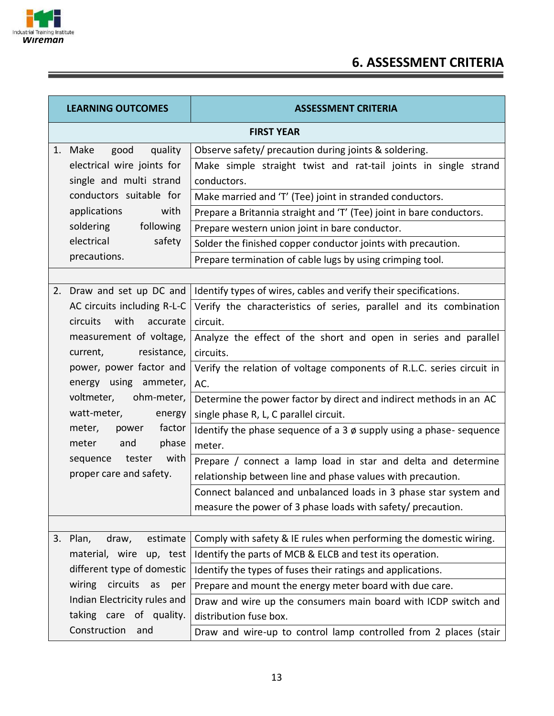

E

# **6. ASSESSMENT CRITERIA**

| <b>LEARNING OUTCOMES</b> |                               | <b>ASSESSMENT CRITERIA</b>                                              |
|--------------------------|-------------------------------|-------------------------------------------------------------------------|
|                          |                               | <b>FIRST YEAR</b>                                                       |
|                          | good<br>1. Make<br>quality    | Observe safety/ precaution during joints & soldering.                   |
|                          | electrical wire joints for    | Make simple straight twist and rat-tail joints in single strand         |
|                          | single and multi strand       | conductors.                                                             |
|                          | conductors suitable for       | Make married and 'T' (Tee) joint in stranded conductors.                |
|                          | applications<br>with          | Prepare a Britannia straight and 'T' (Tee) joint in bare conductors.    |
|                          | soldering following           | Prepare western union joint in bare conductor.                          |
|                          | electrical<br>safety          | Solder the finished copper conductor joints with precaution.            |
|                          | precautions.                  | Prepare termination of cable lugs by using crimping tool.               |
|                          |                               |                                                                         |
|                          | 2. Draw and set up DC and     | Identify types of wires, cables and verify their specifications.        |
|                          | AC circuits including R-L-C   | Verify the characteristics of series, parallel and its combination      |
|                          | with accurate<br>circuits     | circuit.                                                                |
|                          | measurement of voltage,       | Analyze the effect of the short and open in series and parallel         |
|                          | resistance,<br>current,       | circuits.                                                               |
|                          | power, power factor and       | Verify the relation of voltage components of R.L.C. series circuit in   |
|                          | energy using ammeter,         | AC.                                                                     |
|                          | voltmeter,<br>ohm-meter,      | Determine the power factor by direct and indirect methods in an AC      |
|                          | watt-meter,<br>energy         | single phase R, L, C parallel circuit.                                  |
|                          | factor<br>meter,<br>power     | Identify the phase sequence of a $3 \phi$ supply using a phase-sequence |
|                          | phase<br>meter and            | meter.                                                                  |
|                          | with<br>sequence tester       | Prepare / connect a lamp load in star and delta and determine           |
|                          | proper care and safety.       | relationship between line and phase values with precaution.             |
|                          |                               | Connect balanced and unbalanced loads in 3 phase star system and        |
|                          |                               | measure the power of 3 phase loads with safety/ precaution.             |
|                          |                               |                                                                         |
|                          | estimate<br>3. Plan,<br>draw, | Comply with safety & IE rules when performing the domestic wiring.      |
|                          | material, wire up, test       | Identify the parts of MCB & ELCB and test its operation.                |
|                          | different type of domestic    | Identify the types of fuses their ratings and applications.             |
|                          | wiring circuits<br>as<br>per  | Prepare and mount the energy meter board with due care.                 |
|                          | Indian Electricity rules and  | Draw and wire up the consumers main board with ICDP switch and          |
|                          | taking care of quality.       | distribution fuse box.                                                  |
|                          | Construction<br>and           | Draw and wire-up to control lamp controlled from 2 places (stair        |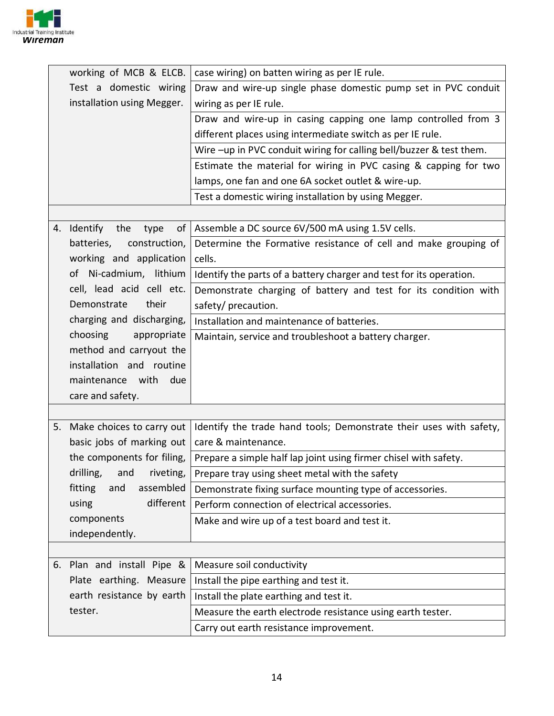

|    | working of MCB & ELCB.        | case wiring) on batten wiring as per IE rule.                       |
|----|-------------------------------|---------------------------------------------------------------------|
|    | Test a domestic wiring        | Draw and wire-up single phase domestic pump set in PVC conduit      |
|    | installation using Megger.    | wiring as per IE rule.                                              |
|    |                               | Draw and wire-up in casing capping one lamp controlled from 3       |
|    |                               | different places using intermediate switch as per IE rule.          |
|    |                               | Wire -up in PVC conduit wiring for calling bell/buzzer & test them. |
|    |                               | Estimate the material for wiring in PVC casing & capping for two    |
|    |                               | lamps, one fan and one 6A socket outlet & wire-up.                  |
|    |                               | Test a domestic wiring installation by using Megger.                |
|    |                               |                                                                     |
|    | 4. Identify the<br>οf<br>type | Assemble a DC source 6V/500 mA using 1.5V cells.                    |
|    | batteries,<br>construction,   | Determine the Formative resistance of cell and make grouping of     |
|    | working and application       | cells.                                                              |
|    | Ni-cadmium, lithium<br>οf     | Identify the parts of a battery charger and test for its operation. |
|    | cell, lead acid cell etc.     | Demonstrate charging of battery and test for its condition with     |
|    | Demonstrate<br>their          | safety/ precaution.                                                 |
|    | charging and discharging,     | Installation and maintenance of batteries.                          |
|    | choosing<br>appropriate       | Maintain, service and troubleshoot a battery charger.               |
|    | method and carryout the       |                                                                     |
|    | installation and routine      |                                                                     |
|    | maintenance with<br>due       |                                                                     |
|    | care and safety.              |                                                                     |
|    |                               |                                                                     |
| 5. | Make choices to carry out     | Identify the trade hand tools; Demonstrate their uses with safety,  |
|    | basic jobs of marking out     | care & maintenance.                                                 |
|    | the components for filing,    | Prepare a simple half lap joint using firmer chisel with safety.    |
|    | drilling,<br>and<br>riveting, | Prepare tray using sheet metal with the safety                      |
|    | assembled<br>fitting<br>and   | Demonstrate fixing surface mounting type of accessories.            |
|    | different<br>using            | Perform connection of electrical accessories.                       |
|    | components                    | Make and wire up of a test board and test it.                       |
|    | independently.                |                                                                     |
|    |                               |                                                                     |
|    | 6. Plan and install Pipe &    | Measure soil conductivity                                           |
|    | Plate earthing. Measure       | Install the pipe earthing and test it.                              |
|    | earth resistance by earth     | Install the plate earthing and test it.                             |
|    | tester.                       | Measure the earth electrode resistance using earth tester.          |
|    |                               | Carry out earth resistance improvement.                             |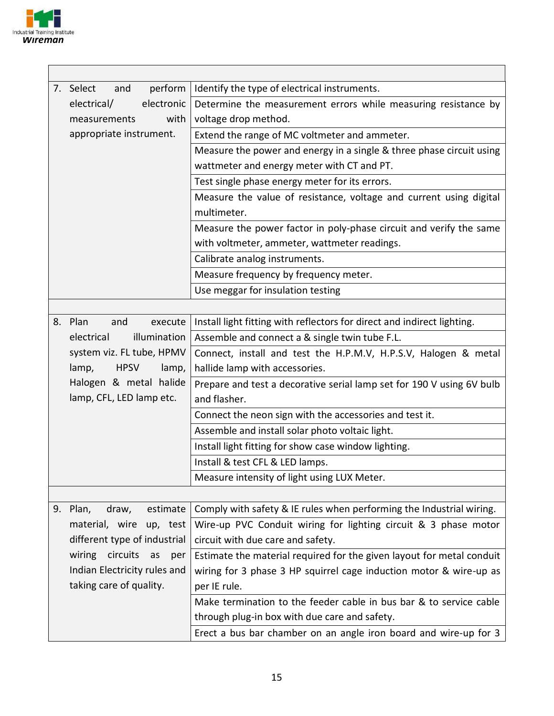

| 7. Select<br>perform<br>and   | Identify the type of electrical instruments.                            |
|-------------------------------|-------------------------------------------------------------------------|
| electronic<br>electrical/     | Determine the measurement errors while measuring resistance by          |
| with<br>measurements          | voltage drop method.                                                    |
| appropriate instrument.       | Extend the range of MC voltmeter and ammeter.                           |
|                               | Measure the power and energy in a single & three phase circuit using    |
|                               | wattmeter and energy meter with CT and PT.                              |
|                               | Test single phase energy meter for its errors.                          |
|                               | Measure the value of resistance, voltage and current using digital      |
|                               | multimeter.                                                             |
|                               | Measure the power factor in poly-phase circuit and verify the same      |
|                               | with voltmeter, ammeter, wattmeter readings.                            |
|                               | Calibrate analog instruments.                                           |
|                               | Measure frequency by frequency meter.                                   |
|                               | Use meggar for insulation testing                                       |
|                               |                                                                         |
| 8. Plan<br>execute<br>and     | Install light fitting with reflectors for direct and indirect lighting. |
| illumination<br>electrical    | Assemble and connect a & single twin tube F.L.                          |
| system viz. FL tube, HPMV     | Connect, install and test the H.P.M.V, H.P.S.V, Halogen & metal         |
| <b>HPSV</b><br>lamp,<br>lamp, | hallide lamp with accessories.                                          |
| Halogen & metal halide        | Prepare and test a decorative serial lamp set for 190 V using 6V bulb   |
| lamp, CFL, LED lamp etc.      | and flasher.                                                            |
|                               | Connect the neon sign with the accessories and test it.                 |
|                               | Assemble and install solar photo voltaic light.                         |
|                               | Install light fitting for show case window lighting.                    |
|                               | Install & test CFL & LED lamps.                                         |
|                               | Measure intensity of light using LUX Meter.                             |
|                               |                                                                         |
| 9. Plan,<br>draw,<br>estimate | Comply with safety & IE rules when performing the Industrial wiring.    |
| material, wire up, test       | Wire-up PVC Conduit wiring for lighting circuit & 3 phase motor         |
| different type of industrial  | circuit with due care and safety.                                       |
| wiring circuits<br>as<br>per  | Estimate the material required for the given layout for metal conduit   |
| Indian Electricity rules and  | wiring for 3 phase 3 HP squirrel cage induction motor & wire-up as      |
| taking care of quality.       | per IE rule.                                                            |
|                               | Make termination to the feeder cable in bus bar & to service cable      |
|                               | through plug-in box with due care and safety.                           |
|                               | Erect a bus bar chamber on an angle iron board and wire-up for 3        |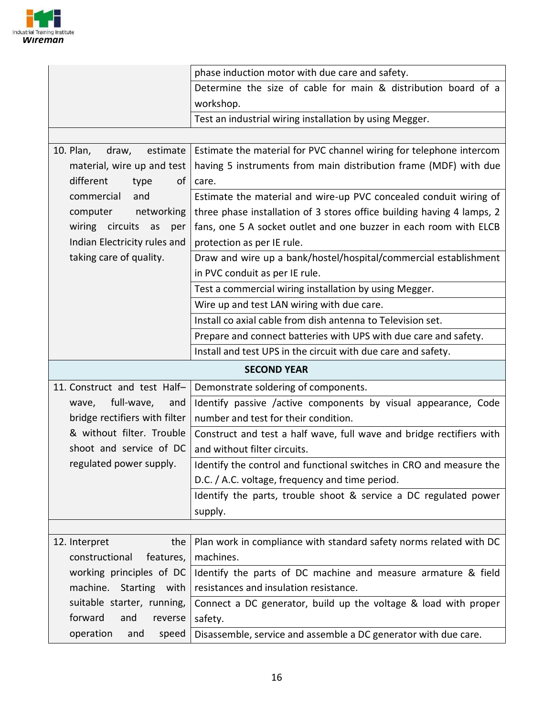

|                                                        | phase induction motor with due care and safety.                            |
|--------------------------------------------------------|----------------------------------------------------------------------------|
|                                                        | Determine the size of cable for main & distribution board of a             |
|                                                        | workshop.                                                                  |
|                                                        | Test an industrial wiring installation by using Megger.                    |
|                                                        |                                                                            |
| 10. Plan,<br>draw,<br>estimate                         | Estimate the material for PVC channel wiring for telephone intercom        |
| material, wire up and test                             | having 5 instruments from main distribution frame (MDF) with due           |
| different<br>οf<br>type                                | care.                                                                      |
| commercial<br>and                                      | Estimate the material and wire-up PVC concealed conduit wiring of          |
| networking<br>computer                                 | three phase installation of 3 stores office building having 4 lamps, 2     |
| wiring circuits as<br>per                              | fans, one 5 A socket outlet and one buzzer in each room with ELCB          |
| Indian Electricity rules and                           | protection as per IE rule.                                                 |
| taking care of quality.                                | Draw and wire up a bank/hostel/hospital/commercial establishment           |
|                                                        | in PVC conduit as per IE rule.                                             |
|                                                        | Test a commercial wiring installation by using Megger.                     |
|                                                        | Wire up and test LAN wiring with due care.                                 |
|                                                        | Install co axial cable from dish antenna to Television set.                |
|                                                        | Prepare and connect batteries with UPS with due care and safety.           |
|                                                        | Install and test UPS in the circuit with due care and safety.              |
|                                                        | <b>SECOND YEAR</b>                                                         |
| 11. Construct and test Half-                           | Demonstrate soldering of components.                                       |
| full-wave,<br>wave,<br>and                             | Identify passive /active components by visual appearance, Code             |
| bridge rectifiers with filter                          | number and test for their condition.                                       |
| & without filter. Trouble                              | Construct and test a half wave, full wave and bridge rectifiers with       |
| shoot and service of DC                                | and without filter circuits.                                               |
| regulated power supply.                                |                                                                            |
|                                                        | Identify the control and functional switches in CRO and measure the        |
|                                                        | D.C. / A.C. voltage, frequency and time period.                            |
|                                                        | Identify the parts, trouble shoot & service a DC regulated power           |
|                                                        | supply.                                                                    |
|                                                        |                                                                            |
| 12. Interpret<br>the                                   | Plan work in compliance with standard safety norms related with DC         |
| constructional<br>features,                            | machines.                                                                  |
| working principles of DC                               | Identify the parts of DC machine and measure armature & field              |
| machine. Starting with                                 | resistances and insulation resistance.                                     |
| suitable starter, running,                             | Connect a DC generator, build up the voltage & load with proper            |
| forward<br>and<br>reverse<br>operation<br>and<br>speed | safety.<br>Disassemble, service and assemble a DC generator with due care. |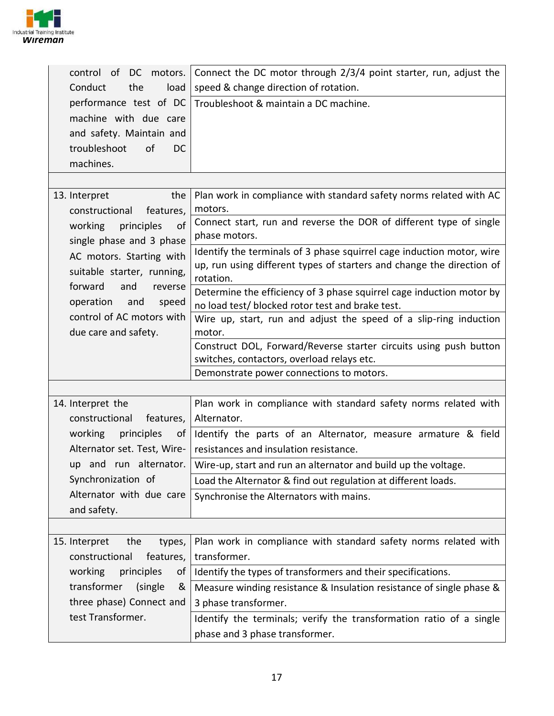

| DC motors.<br>control of                                | Connect the DC motor through 2/3/4 point starter, run, adjust the                                               |
|---------------------------------------------------------|-----------------------------------------------------------------------------------------------------------------|
| Conduct<br>the<br>load                                  | speed & change direction of rotation.                                                                           |
| performance test of DC                                  | Troubleshoot & maintain a DC machine.                                                                           |
| machine with due care                                   |                                                                                                                 |
| and safety. Maintain and                                |                                                                                                                 |
| of<br>troubleshoot<br><sub>DC</sub>                     |                                                                                                                 |
| machines.                                               |                                                                                                                 |
|                                                         |                                                                                                                 |
| 13. Interpret<br>the                                    | Plan work in compliance with standard safety norms related with AC                                              |
| constructional<br>features,                             | motors.                                                                                                         |
| principles<br>working<br>0f<br>single phase and 3 phase | Connect start, run and reverse the DOR of different type of single<br>phase motors.                             |
| AC motors. Starting with                                | Identify the terminals of 3 phase squirrel cage induction motor, wire                                           |
| suitable starter, running,                              | up, run using different types of starters and change the direction of<br>rotation.                              |
| forward<br>and<br>reverse                               | Determine the efficiency of 3 phase squirrel cage induction motor by                                            |
| operation<br>and<br>speed                               | no load test/ blocked rotor test and brake test.                                                                |
| control of AC motors with                               | Wire up, start, run and adjust the speed of a slip-ring induction                                               |
| due care and safety.                                    | motor.                                                                                                          |
|                                                         | Construct DOL, Forward/Reverse starter circuits using push button<br>switches, contactors, overload relays etc. |
|                                                         | Demonstrate power connections to motors.                                                                        |
|                                                         |                                                                                                                 |
| 14. Interpret the                                       | Plan work in compliance with standard safety norms related with                                                 |
| constructional<br>features,                             | Alternator.                                                                                                     |
| working<br>principles<br>0f                             | Identify the parts of an Alternator, measure armature & field                                                   |
| Alternator set. Test, Wire-                             | resistances and insulation resistance.                                                                          |
| up and run alternator.                                  | Wire-up, start and run an alternator and build up the voltage.                                                  |
| Synchronization of                                      | Load the Alternator & find out regulation at different loads.                                                   |
| Alternator with due care                                | Synchronise the Alternators with mains.                                                                         |
| and safety.                                             |                                                                                                                 |
|                                                         |                                                                                                                 |
| 15. Interpret<br>the<br>types,                          | Plan work in compliance with standard safety norms related with                                                 |
| constructional<br>features,                             | transformer.                                                                                                    |
| working<br>principles<br>of                             | Identify the types of transformers and their specifications.                                                    |
| transformer<br>(single<br>&                             | Measure winding resistance & Insulation resistance of single phase &                                            |
| three phase) Connect and                                | 3 phase transformer.                                                                                            |
| test Transformer.                                       | Identify the terminals; verify the transformation ratio of a single                                             |
|                                                         | phase and 3 phase transformer.                                                                                  |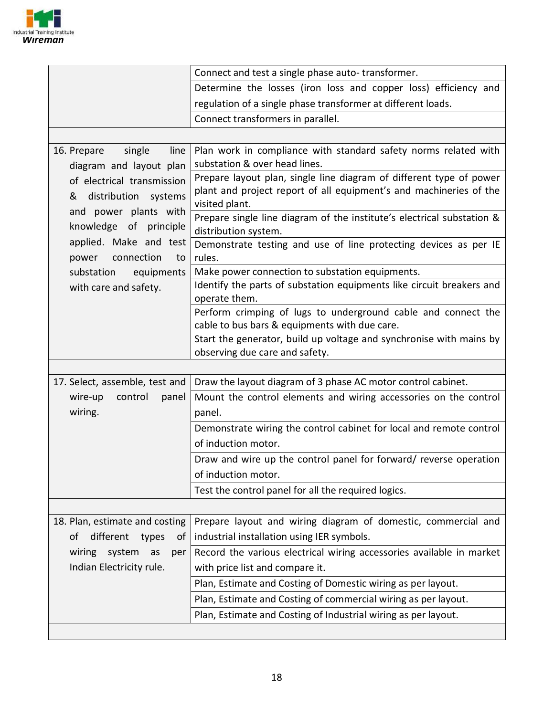

|                                                                                                                                                                                                                                                                                    | Connect and test a single phase auto-transformer.                                                                                                                                                                                                                                                                                                                                                                                                                                                                                                                                                                                                                                                                                                                                     |
|------------------------------------------------------------------------------------------------------------------------------------------------------------------------------------------------------------------------------------------------------------------------------------|---------------------------------------------------------------------------------------------------------------------------------------------------------------------------------------------------------------------------------------------------------------------------------------------------------------------------------------------------------------------------------------------------------------------------------------------------------------------------------------------------------------------------------------------------------------------------------------------------------------------------------------------------------------------------------------------------------------------------------------------------------------------------------------|
|                                                                                                                                                                                                                                                                                    | Determine the losses (iron loss and copper loss) efficiency and                                                                                                                                                                                                                                                                                                                                                                                                                                                                                                                                                                                                                                                                                                                       |
|                                                                                                                                                                                                                                                                                    | regulation of a single phase transformer at different loads.                                                                                                                                                                                                                                                                                                                                                                                                                                                                                                                                                                                                                                                                                                                          |
|                                                                                                                                                                                                                                                                                    | Connect transformers in parallel.                                                                                                                                                                                                                                                                                                                                                                                                                                                                                                                                                                                                                                                                                                                                                     |
|                                                                                                                                                                                                                                                                                    |                                                                                                                                                                                                                                                                                                                                                                                                                                                                                                                                                                                                                                                                                                                                                                                       |
| 16. Prepare<br>single<br>line<br>diagram and layout plan<br>of electrical transmission<br>distribution systems<br>&<br>and power plants with<br>knowledge of principle<br>applied. Make and test<br>connection<br>power<br>to<br>substation<br>equipments<br>with care and safety. | Plan work in compliance with standard safety norms related with<br>substation & over head lines.<br>Prepare layout plan, single line diagram of different type of power<br>plant and project report of all equipment's and machineries of the<br>visited plant.<br>Prepare single line diagram of the institute's electrical substation &<br>distribution system.<br>Demonstrate testing and use of line protecting devices as per IE<br>rules.<br>Make power connection to substation equipments.<br>Identify the parts of substation equipments like circuit breakers and<br>operate them.<br>Perform crimping of lugs to underground cable and connect the<br>cable to bus bars & equipments with due care.<br>Start the generator, build up voltage and synchronise with mains by |
|                                                                                                                                                                                                                                                                                    | observing due care and safety.                                                                                                                                                                                                                                                                                                                                                                                                                                                                                                                                                                                                                                                                                                                                                        |
| 17. Select, assemble, test and                                                                                                                                                                                                                                                     | Draw the layout diagram of 3 phase AC motor control cabinet.                                                                                                                                                                                                                                                                                                                                                                                                                                                                                                                                                                                                                                                                                                                          |
| wire-up<br>control<br>panel                                                                                                                                                                                                                                                        | Mount the control elements and wiring accessories on the control                                                                                                                                                                                                                                                                                                                                                                                                                                                                                                                                                                                                                                                                                                                      |
| wiring.                                                                                                                                                                                                                                                                            | panel.                                                                                                                                                                                                                                                                                                                                                                                                                                                                                                                                                                                                                                                                                                                                                                                |
|                                                                                                                                                                                                                                                                                    | Demonstrate wiring the control cabinet for local and remote control<br>of induction motor.                                                                                                                                                                                                                                                                                                                                                                                                                                                                                                                                                                                                                                                                                            |
|                                                                                                                                                                                                                                                                                    | Draw and wire up the control panel for forward/ reverse operation<br>of induction motor.                                                                                                                                                                                                                                                                                                                                                                                                                                                                                                                                                                                                                                                                                              |
|                                                                                                                                                                                                                                                                                    | Test the control panel for all the required logics.                                                                                                                                                                                                                                                                                                                                                                                                                                                                                                                                                                                                                                                                                                                                   |
|                                                                                                                                                                                                                                                                                    |                                                                                                                                                                                                                                                                                                                                                                                                                                                                                                                                                                                                                                                                                                                                                                                       |
| 18. Plan, estimate and costing<br>different<br>types<br>οf<br>0t                                                                                                                                                                                                                   | Prepare layout and wiring diagram of domestic, commercial and<br>industrial installation using IER symbols.                                                                                                                                                                                                                                                                                                                                                                                                                                                                                                                                                                                                                                                                           |
| wiring system<br>as<br>per<br>Indian Electricity rule.                                                                                                                                                                                                                             | Record the various electrical wiring accessories available in market<br>with price list and compare it.                                                                                                                                                                                                                                                                                                                                                                                                                                                                                                                                                                                                                                                                               |
|                                                                                                                                                                                                                                                                                    | Plan, Estimate and Costing of Domestic wiring as per layout.                                                                                                                                                                                                                                                                                                                                                                                                                                                                                                                                                                                                                                                                                                                          |
|                                                                                                                                                                                                                                                                                    | Plan, Estimate and Costing of commercial wiring as per layout.                                                                                                                                                                                                                                                                                                                                                                                                                                                                                                                                                                                                                                                                                                                        |
|                                                                                                                                                                                                                                                                                    | Plan, Estimate and Costing of Industrial wiring as per layout.                                                                                                                                                                                                                                                                                                                                                                                                                                                                                                                                                                                                                                                                                                                        |
|                                                                                                                                                                                                                                                                                    |                                                                                                                                                                                                                                                                                                                                                                                                                                                                                                                                                                                                                                                                                                                                                                                       |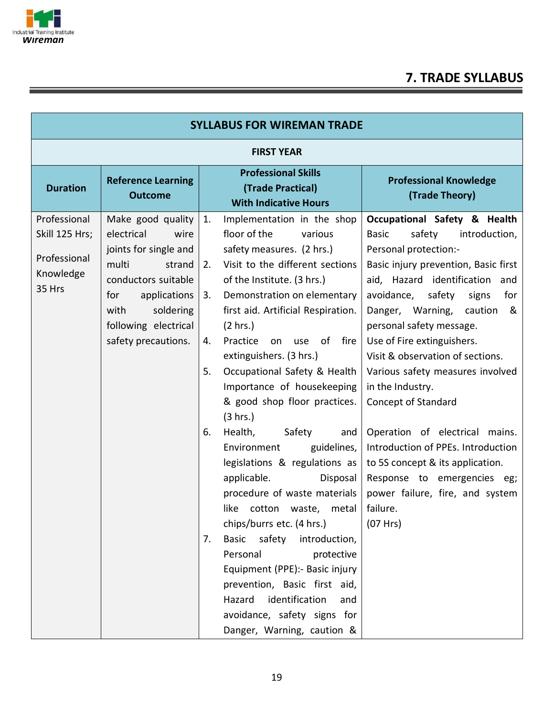

# **7. TRADE SYLLABUS**

| <b>SYLLABUS FOR WIREMAN TRADE</b>                                     |                                                                                                                                                                                                       |                                        |                                                                                                                                                                                                                                                                                                                                                                                                                                                                                                                                                                                                                                                                                                                                                                                                                                                           |                                                                                                                                                                                                                                                                                                                                                                                                                                                                                                                                                                                                                                        |  |  |
|-----------------------------------------------------------------------|-------------------------------------------------------------------------------------------------------------------------------------------------------------------------------------------------------|----------------------------------------|-----------------------------------------------------------------------------------------------------------------------------------------------------------------------------------------------------------------------------------------------------------------------------------------------------------------------------------------------------------------------------------------------------------------------------------------------------------------------------------------------------------------------------------------------------------------------------------------------------------------------------------------------------------------------------------------------------------------------------------------------------------------------------------------------------------------------------------------------------------|----------------------------------------------------------------------------------------------------------------------------------------------------------------------------------------------------------------------------------------------------------------------------------------------------------------------------------------------------------------------------------------------------------------------------------------------------------------------------------------------------------------------------------------------------------------------------------------------------------------------------------------|--|--|
|                                                                       | <b>FIRST YEAR</b>                                                                                                                                                                                     |                                        |                                                                                                                                                                                                                                                                                                                                                                                                                                                                                                                                                                                                                                                                                                                                                                                                                                                           |                                                                                                                                                                                                                                                                                                                                                                                                                                                                                                                                                                                                                                        |  |  |
| <b>Duration</b>                                                       | <b>Reference Learning</b><br><b>Outcome</b>                                                                                                                                                           |                                        | <b>Professional Skills</b><br>(Trade Practical)<br><b>With Indicative Hours</b>                                                                                                                                                                                                                                                                                                                                                                                                                                                                                                                                                                                                                                                                                                                                                                           | <b>Professional Knowledge</b><br>(Trade Theory)                                                                                                                                                                                                                                                                                                                                                                                                                                                                                                                                                                                        |  |  |
| Professional<br>Skill 125 Hrs;<br>Professional<br>Knowledge<br>35 Hrs | Make good quality<br>electrical<br>wire<br>joints for single and<br>multi<br>strand<br>conductors suitable<br>applications<br>for<br>soldering<br>with<br>following electrical<br>safety precautions. | 1.<br>2.<br>3.<br>4.<br>5.<br>6.<br>7. | Implementation in the shop<br>floor of the<br>various<br>safety measures. (2 hrs.)<br>Visit to the different sections<br>of the Institute. (3 hrs.)<br>Demonstration on elementary<br>first aid. Artificial Respiration.<br>(2 hrs.)<br>use of fire<br>Practice<br>on<br>extinguishers. (3 hrs.)<br>Occupational Safety & Health<br>Importance of housekeeping<br>& good shop floor practices.<br>(3 hrs.)<br>Safety<br>Health,<br>and<br>guidelines,<br>Environment<br>legislations & regulations as<br>applicable.<br>Disposal<br>procedure of waste materials<br>like cotton waste, metal<br>chips/burrs etc. (4 hrs.)<br>Basic<br>safety<br>introduction,<br>Personal<br>protective<br>Equipment (PPE):- Basic injury<br>prevention, Basic first aid,<br>identification<br>Hazard<br>and<br>avoidance, safety signs for<br>Danger, Warning, caution & | Occupational Safety & Health<br>safety<br>introduction,<br><b>Basic</b><br>Personal protection:-<br>Basic injury prevention, Basic first<br>aid, Hazard identification and<br>avoidance,<br>safety<br>signs<br>for<br>Danger, Warning, caution<br>&<br>personal safety message.<br>Use of Fire extinguishers.<br>Visit & observation of sections.<br>Various safety measures involved<br>in the Industry.<br>Concept of Standard<br>Operation of electrical mains.<br>Introduction of PPEs. Introduction<br>to 5S concept & its application.<br>Response to emergencies eg;<br>power failure, fire, and system<br>failure.<br>(07 Hrs) |  |  |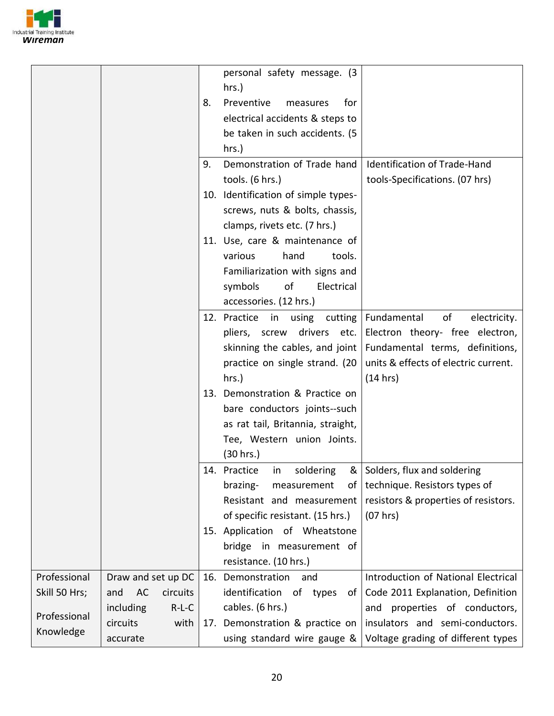

|               |                       |    | personal safety message. (3<br>$hrs.$ ) |                                      |
|---------------|-----------------------|----|-----------------------------------------|--------------------------------------|
|               |                       | 8. | Preventive<br>for<br>measures           |                                      |
|               |                       |    | electrical accidents & steps to         |                                      |
|               |                       |    | be taken in such accidents. (5          |                                      |
|               |                       |    | $hrs.$ )                                |                                      |
|               |                       | 9. | Demonstration of Trade hand             | Identification of Trade-Hand         |
|               |                       |    | tools. (6 hrs.)                         | tools-Specifications. (07 hrs)       |
|               |                       |    | 10. Identification of simple types-     |                                      |
|               |                       |    | screws, nuts & bolts, chassis,          |                                      |
|               |                       |    | clamps, rivets etc. (7 hrs.)            |                                      |
|               |                       |    | 11. Use, care & maintenance of          |                                      |
|               |                       |    | hand<br>various<br>tools.               |                                      |
|               |                       |    | Familiarization with signs and          |                                      |
|               |                       |    | symbols<br>of<br>Electrical             |                                      |
|               |                       |    | accessories. (12 hrs.)                  |                                      |
|               |                       |    | 12. Practice<br>in<br>using<br>cutting  | Fundamental<br>of<br>electricity.    |
|               |                       |    | drivers etc.<br>pliers, screw           | Electron theory- free electron,      |
|               |                       |    | skinning the cables, and joint          | Fundamental terms, definitions,      |
|               |                       |    | practice on single strand. (20          | units & effects of electric current. |
|               |                       |    | $hrs.$ )                                | (14 hrs)                             |
|               |                       |    | 13. Demonstration & Practice on         |                                      |
|               |                       |    | bare conductors joints--such            |                                      |
|               |                       |    | as rat tail, Britannia, straight,       |                                      |
|               |                       |    | Tee, Western union Joints.              |                                      |
|               |                       |    | (30 hrs.)                               |                                      |
|               |                       |    | 14. Practice<br>soldering<br>ın<br>&    | Solders, flux and soldering          |
|               |                       |    | brazing-<br>measurement<br>of           | technique. Resistors types of        |
|               |                       |    | Resistant and measurement               | resistors & properties of resistors. |
|               |                       |    | of specific resistant. (15 hrs.)        | (07 hrs)                             |
|               |                       |    | 15. Application of Wheatstone           |                                      |
|               |                       |    | bridge<br>in measurement of             |                                      |
|               |                       |    | resistance. (10 hrs.)                   |                                      |
| Professional  | Draw and set up DC    |    | 16. Demonstration<br>and                | Introduction of National Electrical  |
| Skill 50 Hrs; | AC<br>and<br>circuits |    | identification of types<br>of           | Code 2011 Explanation, Definition    |
| Professional  | including<br>$R-L-C$  |    | cables. (6 hrs.)                        | and properties of conductors,        |
| Knowledge     | circuits<br>with      |    | 17. Demonstration & practice on         | insulators and semi-conductors.      |
|               | accurate              |    | using standard wire gauge &             | Voltage grading of different types   |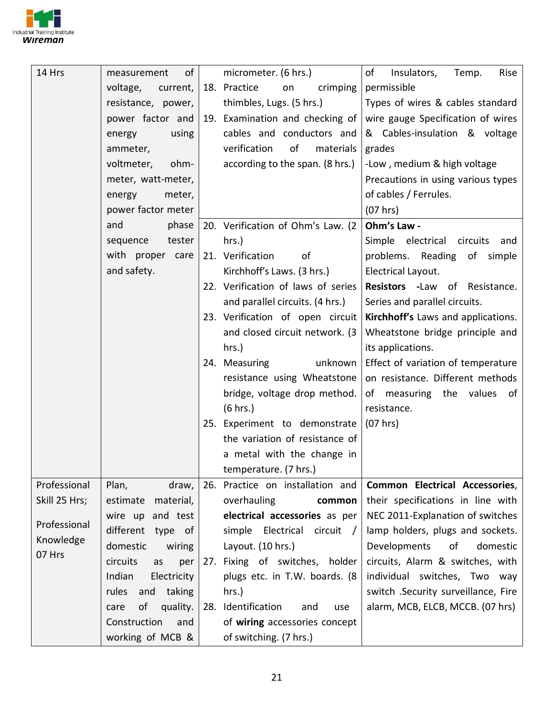

| 14 Hrs        | of<br>measurement      | micrometer. (6 hrs.)               | Insulators,<br>of<br>Temp.<br>Rise    |
|---------------|------------------------|------------------------------------|---------------------------------------|
|               | voltage,<br>current,   | 18. Practice<br>crimping<br>on     | permissible                           |
|               | resistance, power,     | thimbles, Lugs. (5 hrs.)           | Types of wires & cables standard      |
|               | power factor and       | 19. Examination and checking of    | wire gauge Specification of wires     |
|               | energy<br>using        | cables and conductors and          | & Cables-insulation & voltage         |
|               | ammeter,               | verification<br>of<br>materials    | grades                                |
|               | voltmeter,<br>ohm-     | according to the span. (8 hrs.)    | -Low, medium & high voltage           |
|               | meter, watt-meter,     |                                    | Precautions in using various types    |
|               | meter,<br>energy       |                                    | of cables / Ferrules.                 |
|               | power factor meter     |                                    | (07 hrs)                              |
|               | and<br>phase           | 20. Verification of Ohm's Law. (2) | Ohm's Law -                           |
|               | tester<br>sequence     | $hrs.$ )                           | Simple electrical circuits<br>and     |
|               | with proper care       | 21. Verification<br>of             | problems. Reading of simple           |
|               | and safety.            | Kirchhoff's Laws. (3 hrs.)         | Electrical Layout.                    |
|               |                        | 22. Verification of laws of series | Resistors - Law of Resistance.        |
|               |                        | and parallel circuits. (4 hrs.)    | Series and parallel circuits.         |
|               |                        | 23. Verification of open circuit   | Kirchhoff's Laws and applications.    |
|               |                        | and closed circuit network. (3)    | Wheatstone bridge principle and       |
|               |                        | hrs.)                              | its applications.                     |
|               |                        | 24. Measuring<br>unknown           | Effect of variation of temperature    |
|               |                        | resistance using Wheatstone        | on resistance. Different methods      |
|               |                        | bridge, voltage drop method.       | of measuring the values of            |
|               |                        | (6 hrs.)                           | resistance.                           |
|               |                        | 25. Experiment to demonstrate      | (07 hrs)                              |
|               |                        | the variation of resistance of     |                                       |
|               |                        | a metal with the change in         |                                       |
|               |                        | temperature. (7 hrs.)              |                                       |
| Professional  | Plan,<br>draw,         | 26. Practice on installation and   | <b>Common Electrical Accessories,</b> |
| Skill 25 Hrs; | estimate<br>material,  | overhauling<br>common              | their specifications in line with     |
| Professional  | and test<br>wire up    | electrical accessories as per      | NEC 2011-Explanation of switches      |
| Knowledge     | different<br>type of   | simple Electrical circuit /        | lamp holders, plugs and sockets.      |
| 07 Hrs        | domestic<br>wiring     | Layout. (10 hrs.)                  | Developments<br>of<br>domestic        |
|               | circuits<br>as<br>per  | 27. Fixing of switches, holder     | circuits, Alarm & switches, with      |
|               | Indian<br>Electricity  | plugs etc. in T.W. boards. (8      | individual switches, Two way          |
|               | rules<br>and<br>taking | $hrs.$ )                           | switch .Security surveillance, Fire   |
|               | of<br>quality.<br>care | 28. Identification<br>and<br>use   | alarm, MCB, ELCB, MCCB. (07 hrs)      |
|               | Construction<br>and    | of wiring accessories concept      |                                       |
|               | working of MCB &       | of switching. (7 hrs.)             |                                       |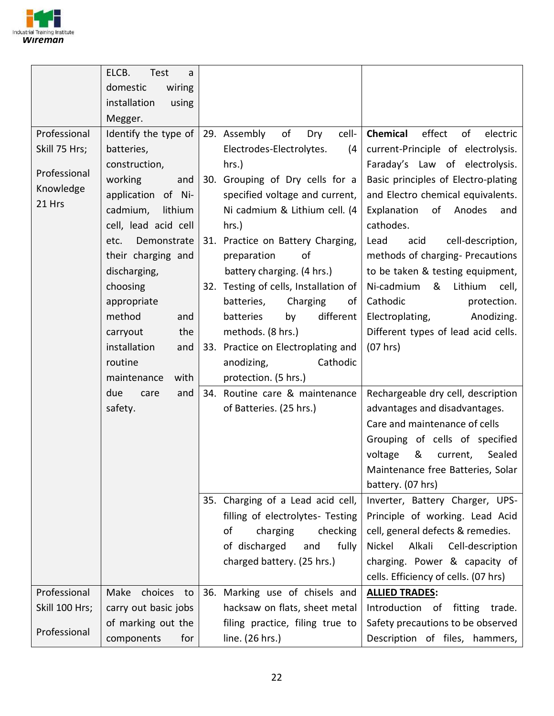

|                | ELCB.<br>Test<br>a<br>domestic<br>wiring<br>installation<br>using<br>Megger. |                                       |                                      |
|----------------|------------------------------------------------------------------------------|---------------------------------------|--------------------------------------|
| Professional   | Identify the type of                                                         | 29. Assembly<br>of<br>Dry<br>cell-    | Chemical<br>effect<br>of<br>electric |
| Skill 75 Hrs;  | batteries,                                                                   | Electrodes-Electrolytes.<br>(4)       | current-Principle of electrolysis.   |
|                |                                                                              |                                       |                                      |
| Professional   | construction,                                                                | $hrs.$ )                              | Faraday's Law of electrolysis.       |
| Knowledge      | working<br>and                                                               | 30. Grouping of Dry cells for a       | Basic principles of Electro-plating  |
| 21 Hrs         | application of Ni-                                                           | specified voltage and current,        | and Electro chemical equivalents.    |
|                | cadmium,<br>lithium                                                          | Ni cadmium & Lithium cell. (4         | Explanation<br>of<br>Anodes<br>and   |
|                | cell, lead acid cell                                                         | hrs.)                                 | cathodes.                            |
|                | Demonstrate<br>etc.                                                          | 31. Practice on Battery Charging,     | cell-description,<br>Lead<br>acid    |
|                | their charging and                                                           | of<br>preparation                     | methods of charging- Precautions     |
|                | discharging,                                                                 | battery charging. (4 hrs.)            | to be taken & testing equipment,     |
|                | choosing                                                                     | 32. Testing of cells, Installation of | & Lithium<br>Ni-cadmium<br>cell,     |
|                | appropriate                                                                  | batteries,<br>Charging<br>οf          | Cathodic<br>protection.              |
|                | method                                                                       | batteries<br>different                | Anodizing.                           |
|                | and                                                                          | by                                    | Electroplating,                      |
|                | the<br>carryout                                                              | methods. (8 hrs.)                     | Different types of lead acid cells.  |
|                | installation<br>and                                                          | 33. Practice on Electroplating and    | (07 hrs)                             |
|                | routine                                                                      | anodizing,<br>Cathodic                |                                      |
|                | maintenance<br>with                                                          | protection. (5 hrs.)                  |                                      |
|                | due<br>and<br>care                                                           | 34. Routine care & maintenance        | Rechargeable dry cell, description   |
|                | safety.                                                                      | of Batteries. (25 hrs.)               | advantages and disadvantages.        |
|                |                                                                              |                                       | Care and maintenance of cells        |
|                |                                                                              |                                       | Grouping of cells of specified       |
|                |                                                                              |                                       | &<br>voltage<br>Sealed<br>current,   |
|                |                                                                              |                                       | Maintenance free Batteries, Solar    |
|                |                                                                              |                                       | battery. (07 hrs)                    |
|                |                                                                              | 35. Charging of a Lead acid cell,     | Inverter, Battery Charger, UPS-      |
|                |                                                                              | filling of electrolytes- Testing      | Principle of working. Lead Acid      |
|                |                                                                              |                                       |                                      |
|                |                                                                              | of<br>charging<br>checking            | cell, general defects & remedies.    |
|                |                                                                              | of discharged<br>fully<br>and         | Alkali<br>Cell-description<br>Nickel |
|                |                                                                              | charged battery. (25 hrs.)            | charging. Power & capacity of        |
|                |                                                                              |                                       | cells. Efficiency of cells. (07 hrs) |
| Professional   | choices<br>Make<br>to                                                        | 36. Marking use of chisels and        | <b>ALLIED TRADES:</b>                |
| Skill 100 Hrs; | carry out basic jobs                                                         | hacksaw on flats, sheet metal         | Introduction of fitting<br>trade.    |
|                | of marking out the                                                           | filing practice, filing true to       | Safety precautions to be observed    |
| Professional   | components<br>for                                                            | line. (26 hrs.)                       | Description of files, hammers,       |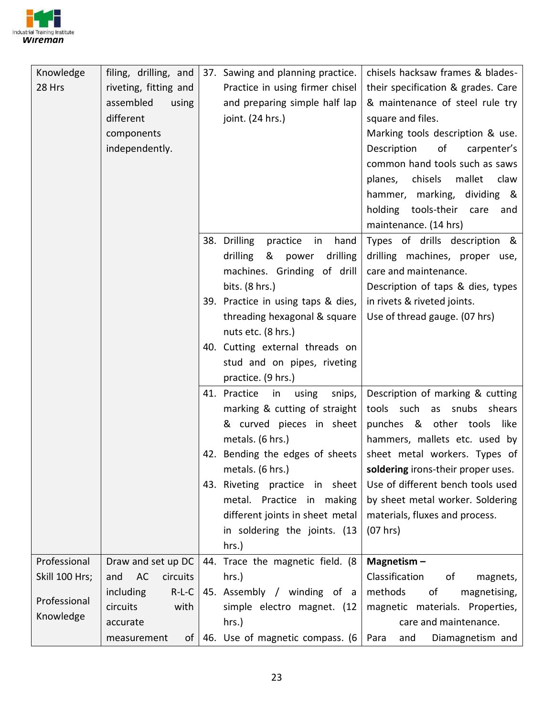

| Knowledge      | filing, drilling, and          | 37. Sawing and planning practice.      | chisels hacksaw frames & blades-    |
|----------------|--------------------------------|----------------------------------------|-------------------------------------|
| 28 Hrs         | riveting, fitting and          | Practice in using firmer chisel        | their specification & grades. Care  |
|                | assembled<br>using             | and preparing simple half lap          | & maintenance of steel rule try     |
|                | different                      | joint. (24 hrs.)                       | square and files.                   |
|                | components                     |                                        | Marking tools description & use.    |
|                | independently.                 |                                        | of<br>Description<br>carpenter's    |
|                |                                |                                        | common hand tools such as saws      |
|                |                                |                                        | chisels mallet<br>planes,<br>claw   |
|                |                                |                                        | hammer, marking,<br>dividing &      |
|                |                                |                                        | holding tools-their care<br>and     |
|                |                                |                                        | maintenance. (14 hrs)               |
|                |                                | 38. Drilling<br>practice<br>hand<br>in | Types of drills description &       |
|                |                                | & power<br>drilling<br>drilling        | drilling machines, proper use,      |
|                |                                | machines. Grinding of drill            | care and maintenance.               |
|                |                                | bits. (8 hrs.)                         | Description of taps & dies, types   |
|                |                                | 39. Practice in using taps & dies,     | in rivets & riveted joints.         |
|                |                                | threading hexagonal & square           | Use of thread gauge. (07 hrs)       |
|                |                                | nuts etc. (8 hrs.)                     |                                     |
|                |                                | 40. Cutting external threads on        |                                     |
|                |                                | stud and on pipes, riveting            |                                     |
|                |                                | practice. (9 hrs.)                     |                                     |
|                |                                | 41. Practice<br>using<br>snips,<br>in  | Description of marking & cutting    |
|                |                                | marking & cutting of straight          | tools such<br>as<br>snubs<br>shears |
|                |                                | & curved pieces in sheet               | punches & other tools like          |
|                |                                | metals. (6 hrs.)                       | hammers, mallets etc. used by       |
|                |                                | 42. Bending the edges of sheets        | sheet metal workers. Types of       |
|                |                                | metals. (6 hrs.)                       | soldering irons-their proper uses.  |
|                |                                | 43. Riveting practice in sheet         | Use of different bench tools used   |
|                |                                | metal. Practice in making              | by sheet metal worker. Soldering    |
|                |                                | different joints in sheet metal        | materials, fluxes and process.      |
|                |                                | in soldering the joints. (13           | (07 hrs)                            |
|                |                                | hrs.)                                  |                                     |
| Professional   | Draw and set up DC             | 44. Trace the magnetic field. (8       | Magnetism $-$                       |
| Skill 100 Hrs; | AC<br>circuits<br>and          | hrs.)                                  | Classification<br>of<br>magnets,    |
| Professional   | $R-L-C$<br>including           | 45. Assembly / winding of a            | methods<br>of<br>magnetising,       |
| Knowledge      | circuits<br>with               | simple electro magnet. (12             | magnetic materials. Properties,     |
|                | accurate                       | hrs.)                                  | care and maintenance.               |
|                | of <sub>1</sub><br>measurement | 46. Use of magnetic compass. (6        | Para<br>Diamagnetism and<br>and     |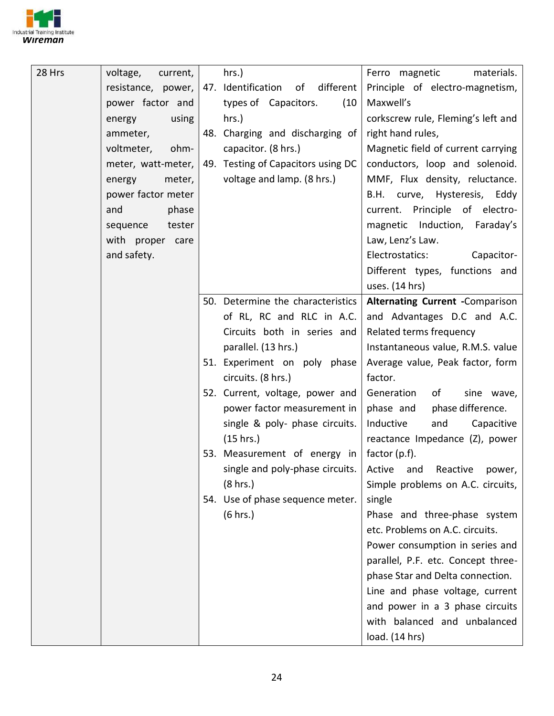

| 28 Hrs | voltage,<br>current, | hrs.)                                 | Ferro magnetic<br>materials.                                 |
|--------|----------------------|---------------------------------------|--------------------------------------------------------------|
|        | resistance, power,   | 47. Identification<br>of<br>different | Principle of electro-magnetism,                              |
|        | power factor and     | types of Capacitors.<br>(10)          | Maxwell's                                                    |
|        | using<br>energy      | hrs.)                                 | corkscrew rule, Fleming's left and                           |
|        | ammeter,             | 48. Charging and discharging of       | right hand rules,                                            |
|        | voltmeter,<br>ohm-   | capacitor. (8 hrs.)                   | Magnetic field of current carrying                           |
|        | meter, watt-meter,   | 49. Testing of Capacitors using DC    | conductors, loop and solenoid.                               |
|        | meter,<br>energy     | voltage and lamp. (8 hrs.)            | MMF, Flux density, reluctance.                               |
|        | power factor meter   |                                       | B.H. curve, Hysteresis, Eddy                                 |
|        | phase<br>and         |                                       | current. Principle of electro-                               |
|        | tester<br>sequence   |                                       | magnetic Induction, Faraday's                                |
|        | with proper care     |                                       | Law, Lenz's Law.                                             |
|        | and safety.          |                                       | Electrostatics:<br>Capacitor-                                |
|        |                      |                                       | Different types, functions and                               |
|        |                      |                                       | uses. (14 hrs)                                               |
|        |                      | 50. Determine the characteristics     | <b>Alternating Current -Comparison</b>                       |
|        |                      | of RL, RC and RLC in A.C.             | and Advantages D.C and A.C.                                  |
|        |                      | Circuits both in series and           | Related terms frequency                                      |
|        |                      | parallel. (13 hrs.)                   | Instantaneous value, R.M.S. value                            |
|        |                      | 51. Experiment on poly phase          | Average value, Peak factor, form                             |
|        |                      | circuits. (8 hrs.)                    | factor.                                                      |
|        |                      | 52. Current, voltage, power and       | of<br>Generation<br>sine wave,                               |
|        |                      | power factor measurement in           | phase difference.<br>phase and                               |
|        |                      | single & poly- phase circuits.        | Inductive<br>and<br>Capacitive                               |
|        |                      | (15 hrs.)                             | reactance Impedance (Z), power                               |
|        |                      | 53. Measurement of energy in          | factor (p.f).                                                |
|        |                      |                                       | single and poly-phase circuits.   Active and Reactive power, |
|        |                      | (8 hrs.)                              | Simple problems on A.C. circuits,                            |
|        |                      | 54. Use of phase sequence meter.      | single                                                       |
|        |                      | (6 hrs.)                              | Phase and three-phase system                                 |
|        |                      |                                       | etc. Problems on A.C. circuits.                              |
|        |                      |                                       | Power consumption in series and                              |
|        |                      |                                       | parallel, P.F. etc. Concept three-                           |
|        |                      |                                       | phase Star and Delta connection.                             |
|        |                      |                                       | Line and phase voltage, current                              |
|        |                      |                                       | and power in a 3 phase circuits                              |
|        |                      |                                       | with balanced and unbalanced                                 |
|        |                      |                                       | load. (14 hrs)                                               |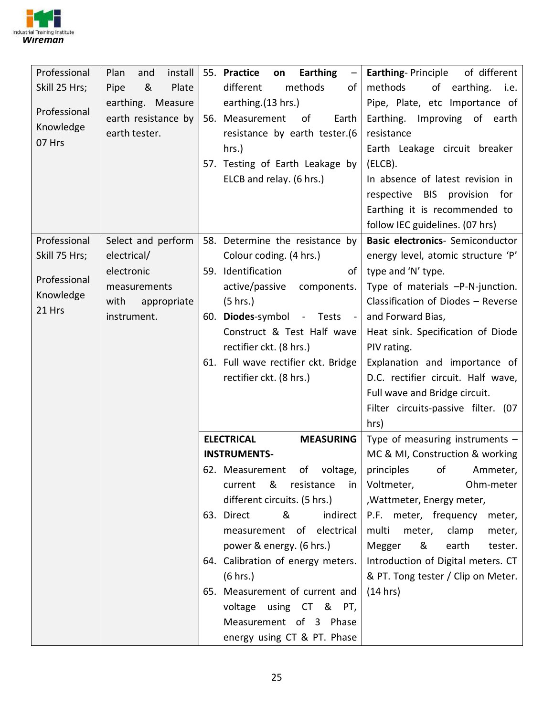

| Professional  | install<br>Plan<br>and | 55. Practice<br><b>Earthing</b><br>on<br>$\overline{\phantom{m}}$ | <b>Earthing-Principle</b><br>of different |
|---------------|------------------------|-------------------------------------------------------------------|-------------------------------------------|
| Skill 25 Hrs; | &<br>Plate<br>Pipe     | methods<br>different<br>of                                        | methods<br>of earthing.<br>i.e.           |
|               | earthing. Measure      | earthing.(13 hrs.)                                                | Pipe, Plate, etc Importance of            |
| Professional  | earth resistance by    | 56. Measurement<br>of<br>Earth                                    | Earthing.<br>Improving of earth           |
| Knowledge     | earth tester.          | resistance by earth tester.(6                                     | resistance                                |
| 07 Hrs        |                        | hrs.)                                                             | Earth Leakage circuit breaker             |
|               |                        | 57. Testing of Earth Leakage by                                   | (ELCB).                                   |
|               |                        | ELCB and relay. (6 hrs.)                                          | In absence of latest revision in          |
|               |                        |                                                                   | respective BIS provision for              |
|               |                        |                                                                   | Earthing it is recommended to             |
|               |                        |                                                                   | follow IEC guidelines. (07 hrs)           |
| Professional  | Select and perform     | 58. Determine the resistance by                                   | Basic electronics- Semiconductor          |
| Skill 75 Hrs; | electrical/            | Colour coding. (4 hrs.)                                           | energy level, atomic structure 'P'        |
|               | electronic             | 59. Identification<br>of                                          | type and 'N' type.                        |
| Professional  | measurements           | active/passive<br>components.                                     | Type of materials -P-N-junction.          |
| Knowledge     | with<br>appropriate    | (5 hrs.)                                                          | Classification of Diodes - Reverse        |
| 21 Hrs        | instrument.            | 60. Diodes-symbol - Tests -                                       | and Forward Bias,                         |
|               |                        | Construct & Test Half wave                                        | Heat sink. Specification of Diode         |
|               |                        | rectifier ckt. (8 hrs.)                                           | PIV rating.                               |
|               |                        | 61. Full wave rectifier ckt. Bridge                               | Explanation and importance of             |
|               |                        | rectifier ckt. (8 hrs.)                                           | D.C. rectifier circuit. Half wave,        |
|               |                        |                                                                   | Full wave and Bridge circuit.             |
|               |                        |                                                                   | Filter circuits-passive filter. (07       |
|               |                        |                                                                   | hrs)                                      |
|               |                        | <b>ELECTRICAL</b><br><b>MEASURING</b>                             | Type of measuring instruments $-$         |
|               |                        | <b>INSTRUMENTS-</b>                                               | MC & MI, Construction & working           |
|               |                        | 62. Measurement of voltage,                                       | principles of Ammeter,                    |
|               |                        | &<br>resistance<br>current<br>in                                  | Ohm-meter<br>Voltmeter,                   |
|               |                        | different circuits. (5 hrs.)                                      | , Wattmeter, Energy meter,                |
|               |                        | 63. Direct<br>&<br>indirect                                       | P.F. meter, frequency<br>meter,           |
|               |                        | measurement of electrical                                         | multi<br>meter,<br>clamp<br>meter,        |
|               |                        | power & energy. (6 hrs.)                                          | Megger<br>&<br>earth<br>tester.           |
|               |                        | 64. Calibration of energy meters.                                 | Introduction of Digital meters. CT        |
|               |                        | (6 hrs.)                                                          | & PT. Tong tester / Clip on Meter.        |
|               |                        | 65. Measurement of current and                                    | (14 hrs)                                  |
|               |                        | voltage using CT & PT,                                            |                                           |
|               |                        | Measurement of 3 Phase                                            |                                           |
|               |                        | energy using CT & PT. Phase                                       |                                           |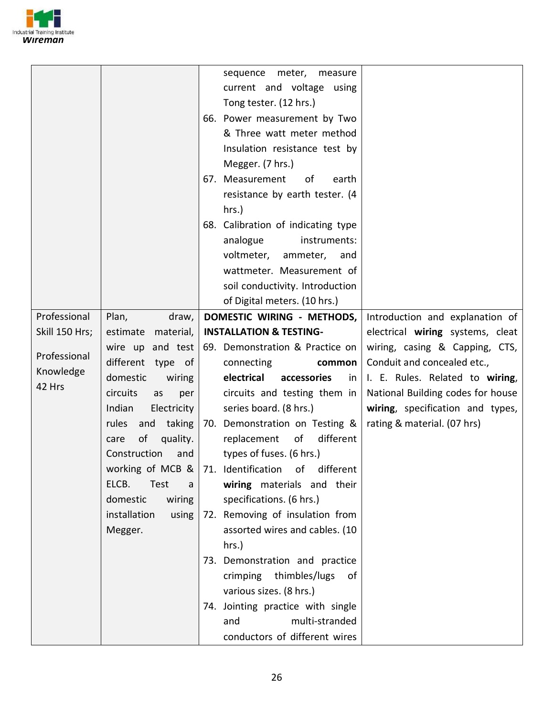

|                |                                  | sequence meter, measure                                                                                                                                                                                      |                                   |
|----------------|----------------------------------|--------------------------------------------------------------------------------------------------------------------------------------------------------------------------------------------------------------|-----------------------------------|
|                |                                  | current and voltage using                                                                                                                                                                                    |                                   |
|                |                                  | Tong tester. (12 hrs.)                                                                                                                                                                                       |                                   |
|                |                                  | 66. Power measurement by Two                                                                                                                                                                                 |                                   |
|                |                                  | & Three watt meter method                                                                                                                                                                                    |                                   |
|                |                                  | Insulation resistance test by                                                                                                                                                                                |                                   |
|                |                                  | Megger. (7 hrs.)                                                                                                                                                                                             |                                   |
|                |                                  | 67. Measurement<br>of<br>earth                                                                                                                                                                               |                                   |
|                |                                  | resistance by earth tester. (4                                                                                                                                                                               |                                   |
|                |                                  | hrs.)                                                                                                                                                                                                        |                                   |
|                |                                  | 68. Calibration of indicating type                                                                                                                                                                           |                                   |
|                |                                  | analogue<br>instruments:                                                                                                                                                                                     |                                   |
|                |                                  | voltmeter,<br>ammeter,<br>and                                                                                                                                                                                |                                   |
|                |                                  | wattmeter. Measurement of                                                                                                                                                                                    |                                   |
|                |                                  | soil conductivity. Introduction                                                                                                                                                                              |                                   |
|                |                                  | of Digital meters. (10 hrs.)                                                                                                                                                                                 |                                   |
| Professional   | Plan,<br>draw,                   | DOMESTIC WIRING - METHODS,                                                                                                                                                                                   | Introduction and explanation of   |
| Skill 150 Hrs; | estimate<br>material,            | <b>INSTALLATION &amp; TESTING-</b>                                                                                                                                                                           | electrical wiring systems, cleat  |
|                | wire up and test                 | 69. Demonstration & Practice on                                                                                                                                                                              | wiring, casing & Capping, CTS,    |
| Professional   | different type of                | connecting<br>common                                                                                                                                                                                         | Conduit and concealed etc.,       |
| Knowledge      | domestic<br>wiring               | electrical<br>accessories<br><sub>in</sub>                                                                                                                                                                   | I. E. Rules. Related to wiring,   |
| 42 Hrs         | circuits<br>as<br>per            | circuits and testing them in                                                                                                                                                                                 | National Building codes for house |
|                | Indian<br>Electricity            | series board. (8 hrs.)                                                                                                                                                                                       | wiring, specification and types,  |
|                | and taking<br>rules              | 70. Demonstration on Testing &                                                                                                                                                                               | rating & material. (07 hrs)       |
|                | of<br>quality.<br>care           | replacement<br>of<br>different                                                                                                                                                                               |                                   |
|                | Construction<br>and              | types of fuses. (6 hrs.)                                                                                                                                                                                     |                                   |
|                |                                  | working of MCB $&$ 71. Identification of different                                                                                                                                                           |                                   |
|                | ELCB.<br>Test<br>a               | wiring materials and their                                                                                                                                                                                   |                                   |
|                | domestic<br>wiring               | specifications. (6 hrs.)                                                                                                                                                                                     |                                   |
|                |                                  |                                                                                                                                                                                                              |                                   |
|                |                                  |                                                                                                                                                                                                              |                                   |
|                |                                  |                                                                                                                                                                                                              |                                   |
|                |                                  |                                                                                                                                                                                                              |                                   |
|                |                                  |                                                                                                                                                                                                              |                                   |
|                |                                  |                                                                                                                                                                                                              |                                   |
|                |                                  |                                                                                                                                                                                                              |                                   |
|                |                                  | multi-stranded<br>and                                                                                                                                                                                        |                                   |
|                |                                  | conductors of different wires                                                                                                                                                                                |                                   |
|                | installation<br>using<br>Megger. | 72. Removing of insulation from<br>assorted wires and cables. (10<br>hrs.)<br>73. Demonstration and practice<br>crimping thimbles/lugs<br>of<br>various sizes. (8 hrs.)<br>74. Jointing practice with single |                                   |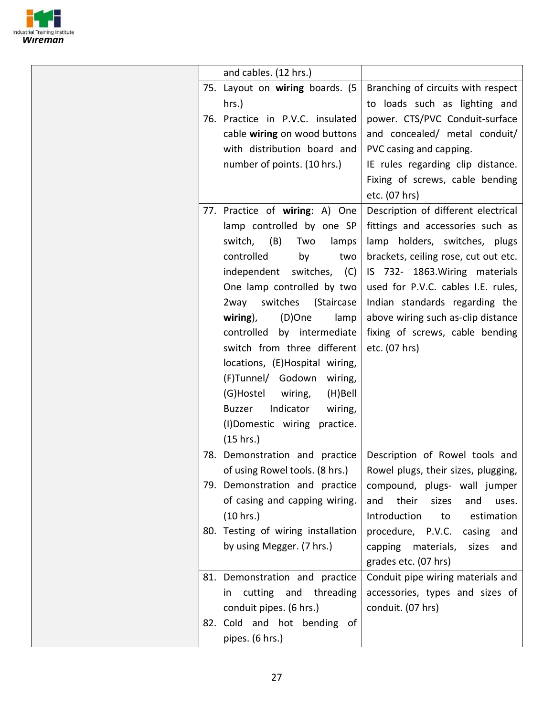

| and cables. (12 hrs.)                                                                                                                                                                                                                                                                                                                                                                                                                                                                                          |                                                                                                                                                                                                                                                                                                                                                      |
|----------------------------------------------------------------------------------------------------------------------------------------------------------------------------------------------------------------------------------------------------------------------------------------------------------------------------------------------------------------------------------------------------------------------------------------------------------------------------------------------------------------|------------------------------------------------------------------------------------------------------------------------------------------------------------------------------------------------------------------------------------------------------------------------------------------------------------------------------------------------------|
| 75. Layout on wiring boards. (5<br>hrs.)<br>76. Practice in P.V.C. insulated<br>cable wiring on wood buttons<br>with distribution board and<br>number of points. (10 hrs.)                                                                                                                                                                                                                                                                                                                                     | Branching of circuits with respect<br>to loads such as lighting and<br>power. CTS/PVC Conduit-surface<br>and concealed/ metal conduit/<br>PVC casing and capping.<br>IE rules regarding clip distance.<br>Fixing of screws, cable bending<br>etc. (07 hrs)                                                                                           |
| 77. Practice of wiring: A) One<br>lamp controlled by one SP<br>(B)<br>switch,<br>Two<br>lamps<br>controlled<br>by<br>two<br>independent switches,<br>(C)<br>One lamp controlled by two<br>2way<br>switches<br>(Staircase<br>(D)One<br>wiring),<br>lamp<br>by intermediate<br>controlled<br>switch from three different<br>locations, (E)Hospital wiring,<br>(F)Tunnel/ Godown wiring,<br>(G)Hostel<br>wiring,<br>(H)Bell<br>Indicator<br><b>Buzzer</b><br>wiring,<br>(I)Domestic wiring practice.<br>(15 hrs.) | Description of different electrical<br>fittings and accessories such as<br>lamp holders, switches, plugs<br>brackets, ceiling rose, cut out etc.<br>IS 732- 1863. Wiring materials<br>used for P.V.C. cables I.E. rules,<br>Indian standards regarding the<br>above wiring such as-clip distance<br>fixing of screws, cable bending<br>etc. (07 hrs) |
| 78. Demonstration and practice<br>of using Rowel tools. $(8 \text{ hrs.})$<br>79. Demonstration and practice<br>of casing and capping wiring.<br>(10 hrs.)                                                                                                                                                                                                                                                                                                                                                     | Description of Rowel tools and<br>Rowel plugs, their sizes, plugging,<br>compound, plugs- wall jumper<br>their<br>and<br>sizes<br>and<br>uses.<br>Introduction<br>estimation<br>to                                                                                                                                                                   |
| 80. Testing of wiring installation<br>by using Megger. (7 hrs.)                                                                                                                                                                                                                                                                                                                                                                                                                                                | procedure, P.V.C.<br>casing<br>and<br>capping materials,<br>sizes<br>and<br>grades etc. (07 hrs)                                                                                                                                                                                                                                                     |
| 81. Demonstration and practice<br>cutting and threading<br>in<br>conduit pipes. (6 hrs.)<br>82. Cold and hot bending of<br>pipes. (6 hrs.)                                                                                                                                                                                                                                                                                                                                                                     | Conduit pipe wiring materials and<br>accessories, types and sizes of<br>conduit. (07 hrs)                                                                                                                                                                                                                                                            |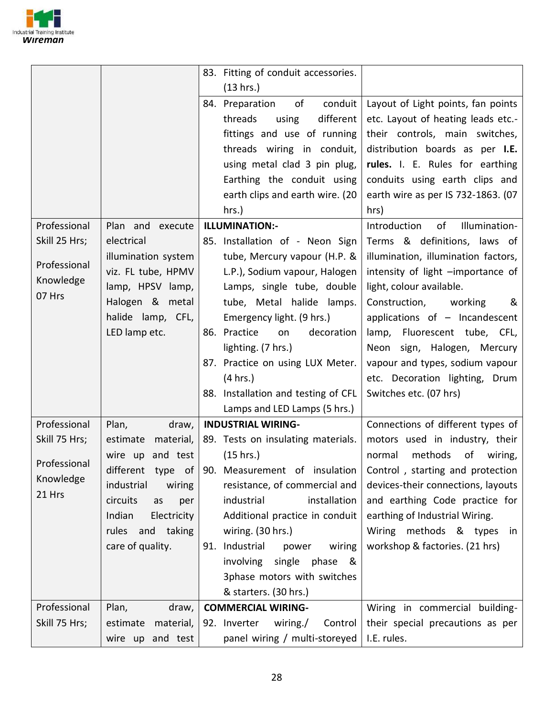

|                     |                       | 83. Fitting of conduit accessories. |                                     |
|---------------------|-----------------------|-------------------------------------|-------------------------------------|
|                     |                       | (13 hrs.)                           |                                     |
|                     |                       | of<br>conduit<br>84. Preparation    | Layout of Light points, fan points  |
|                     |                       | threads<br>different<br>using       | etc. Layout of heating leads etc.-  |
|                     |                       | fittings and use of running         | their controls, main switches,      |
|                     |                       | threads wiring in conduit,          | distribution boards as per I.E.     |
|                     |                       | using metal clad 3 pin plug,        | rules. I. E. Rules for earthing     |
|                     |                       | Earthing the conduit using          | conduits using earth clips and      |
|                     |                       | earth clips and earth wire. (20     | earth wire as per IS 732-1863. (07  |
|                     |                       | hrs.)                               | hrs)                                |
| Professional        | Plan and execute      | ILLUMINATION:-                      | of<br>Illumination-<br>Introduction |
| Skill 25 Hrs;       | electrical            | 85. Installation of - Neon Sign     | Terms & definitions, laws of        |
|                     | illumination system   | tube, Mercury vapour (H.P. &        | illumination, illumination factors, |
| Professional        | viz. FL tube, HPMV    | L.P.), Sodium vapour, Halogen       | intensity of light -importance of   |
| Knowledge           | lamp, HPSV lamp,      | Lamps, single tube, double          | light, colour available.            |
| 07 Hrs              | Halogen & metal       | tube, Metal halide lamps.           | Construction,<br>working<br>&       |
|                     | halide lamp, CFL,     | Emergency light. (9 hrs.)           | applications of - Incandescent      |
|                     | LED lamp etc.         | 86. Practice<br>decoration<br>on    | lamp, Fluorescent tube, CFL,        |
|                     |                       | lighting. (7 hrs.)                  | Neon sign, Halogen, Mercury         |
|                     |                       | 87. Practice on using LUX Meter.    | vapour and types, sodium vapour     |
|                     |                       | (4 hrs.)                            | etc. Decoration lighting, Drum      |
|                     |                       | 88. Installation and testing of CFL | Switches etc. (07 hrs)              |
|                     |                       | Lamps and LED Lamps (5 hrs.)        |                                     |
| Professional        | Plan,<br>draw,        | <b>INDUSTRIAL WIRING-</b>           | Connections of different types of   |
| Skill 75 Hrs;       | estimate<br>material, | 89. Tests on insulating materials.  | motors used in industry, their      |
| Professional        | wire up and test      | (15 hrs.)                           | methods<br>of<br>normal<br>wiring,  |
|                     | different type of     | 90. Measurement of insulation       | Control, starting and protection    |
| Knowledge<br>21 Hrs | industrial<br>wiring  | resistance, of commercial and       | devices-their connections, layouts  |
|                     | circuits<br>as<br>per | industrial<br>installation          | and earthing Code practice for      |
|                     | Indian<br>Electricity | Additional practice in conduit      | earthing of Industrial Wiring.      |
|                     | rules and taking      | wiring. (30 hrs.)                   | Wiring methods & types<br>in        |
|                     | care of quality.      | 91. Industrial<br>power<br>wiring   | workshop & factories. (21 hrs)      |
|                     |                       | involving single phase<br>୍ଷ &      |                                     |
|                     |                       | 3phase motors with switches         |                                     |
|                     |                       | & starters. (30 hrs.)               |                                     |
| Professional        | draw,<br>Plan,        | <b>COMMERCIAL WIRING-</b>           | Wiring in commercial building-      |
| Skill 75 Hrs;       | estimate<br>material, | 92. Inverter<br>wiring./<br>Control | their special precautions as per    |
|                     | wire up and test      | panel wiring / multi-storeyed       | I.E. rules.                         |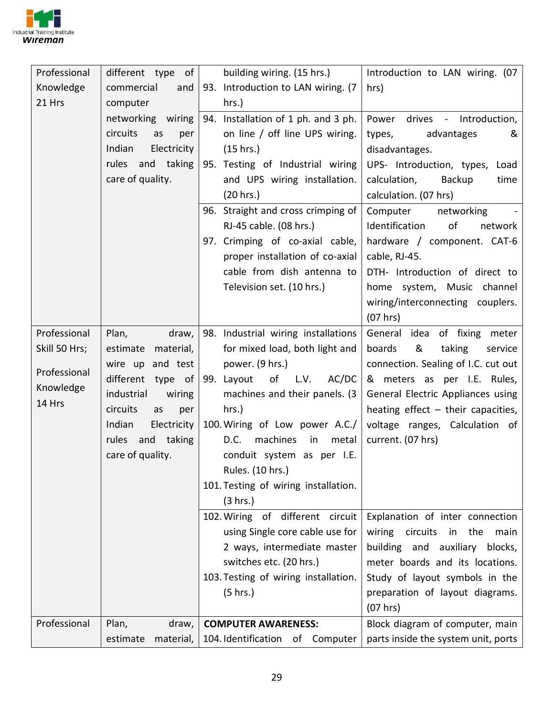

| Professional  | different type of     | building wiring. (15 hrs.)           | Introduction to LAN wiring. (07      |
|---------------|-----------------------|--------------------------------------|--------------------------------------|
| Knowledge     | commercial<br>and     | 93. Introduction to LAN wiring. (7   | hrs)                                 |
| 21 Hrs        | computer              | hrs.)                                |                                      |
|               | networking wiring     | 94. Installation of 1 ph. and 3 ph.  | drives - Introduction,<br>Power      |
|               | circuits<br>per<br>as | on line / off line UPS wiring.       | advantages<br>types,<br>&            |
|               | Indian<br>Electricity | (15 hrs.)                            | disadvantages.                       |
|               | rules and taking      | 95. Testing of Industrial wiring     | UPS- Introduction, types, Load       |
|               | care of quality.      | and UPS wiring installation.         | Backup<br>calculation,<br>time       |
|               |                       | (20 hrs.)                            | calculation. (07 hrs)                |
|               |                       | 96. Straight and cross crimping of   | Computer<br>networking               |
|               |                       | RJ-45 cable. (08 hrs.)               | Identification<br>of<br>network      |
|               |                       | 97. Crimping of co-axial cable,      | hardware / component. CAT-6          |
|               |                       | proper installation of co-axial      | cable, RJ-45.                        |
|               |                       | cable from dish antenna to           | DTH- Introduction of direct to       |
|               |                       | Television set. (10 hrs.)            | home system, Music channel           |
|               |                       |                                      | wiring/interconnecting couplers.     |
|               |                       |                                      | (07 hrs)                             |
| Professional  | Plan,<br>draw,        | 98. Industrial wiring installations  | General idea of fixing meter         |
| Skill 50 Hrs; | estimate<br>material, | for mixed load, both light and       | &<br>taking<br>boards<br>service     |
|               | wire up and test      | power. (9 hrs.)                      | connection. Sealing of I.C. cut out  |
| Professional  | different type of     | of<br>AC/DC<br>99. Layout<br>L.V.    | & meters as per I.E. Rules,          |
| Knowledge     | industrial<br>wiring  | machines and their panels. (3)       | General Electric Appliances using    |
| 14 Hrs        | circuits<br>as<br>per | $hrs.$ )                             | heating effect $-$ their capacities, |
|               | Indian<br>Electricity | 100. Wiring of Low power A.C./       | voltage ranges, Calculation of       |
|               | rules and taking      | D.C.<br>machines<br>in<br>metal      | current. (07 hrs)                    |
|               | care of quality.      | conduit system as per I.E.           |                                      |
|               |                       | Rules. (10 hrs.)                     |                                      |
|               |                       | 101. Testing of wiring installation. |                                      |
|               |                       | (3 hrs.)                             |                                      |
|               |                       | 102. Wiring of different circuit     | Explanation of inter connection      |
|               |                       | using Single core cable use for      | wiring circuits in the<br>main       |
|               |                       | 2 ways, intermediate master          | building and auxiliary<br>blocks,    |
|               |                       | switches etc. (20 hrs.)              | meter boards and its locations.      |
|               |                       | 103. Testing of wiring installation. | Study of layout symbols in the       |
|               |                       | (5 hrs.)                             | preparation of layout diagrams.      |
|               |                       |                                      | (07 hrs)                             |
| Professional  | Plan,<br>draw,        | <b>COMPUTER AWARENESS:</b>           | Block diagram of computer, main      |
|               | estimate<br>material, | 104. Identification of Computer      | parts inside the system unit, ports  |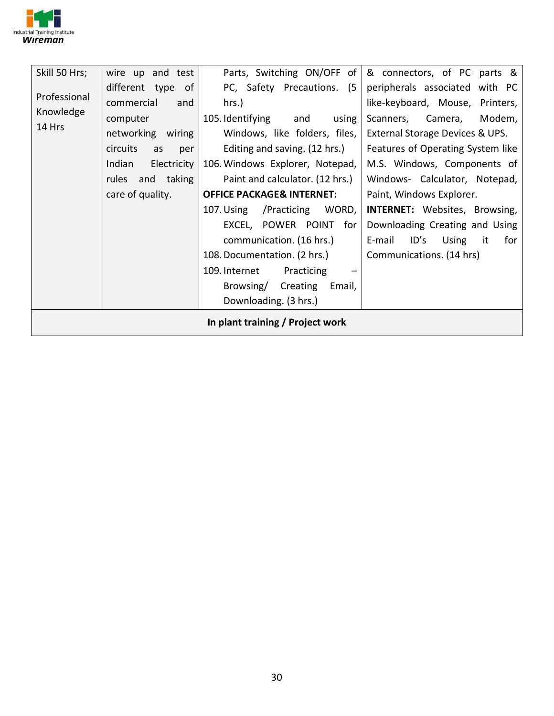

| Skill 50 Hrs;<br>Professional<br>Knowledge<br>14 Hrs | wire up and test<br>different type of<br>commercial<br>and<br>computer<br>networking wiring<br>circuits<br>as<br>per<br>Indian<br>Electricity<br>taking<br>rules and<br>care of quality. | Parts, Switching ON/OFF of<br>PC, Safety Precautions. (5<br>hrs.)<br>105. Identifying<br>using<br>and<br>Windows, like folders, files,<br>Editing and saving. (12 hrs.)<br>106. Windows Explorer, Notepad,<br>Paint and calculator. (12 hrs.)<br><b>OFFICE PACKAGE&amp; INTERNET:</b><br>107. Using /Practicing<br>WORD,<br>EXCEL, POWER POINT<br>for<br>communication. (16 hrs.)<br>108. Documentation. (2 hrs.)<br>109. Internet<br>Practicing<br>Email,<br>Browsing/<br>Creating<br>Downloading. (3 hrs.) | & connectors, of PC parts &<br>peripherals associated with PC<br>like-keyboard, Mouse, Printers,<br>Camera,<br>Modem,<br>Scanners,<br>External Storage Devices & UPS.<br>Features of Operating System like<br>M.S. Windows, Components of<br>Windows- Calculator, Notepad,<br>Paint, Windows Explorer.<br><b>INTERNET:</b> Websites, Browsing,<br>Downloading Creating and Using<br>ID's<br>E-mail<br>Using<br>for<br>it<br>Communications. (14 hrs) |
|------------------------------------------------------|------------------------------------------------------------------------------------------------------------------------------------------------------------------------------------------|--------------------------------------------------------------------------------------------------------------------------------------------------------------------------------------------------------------------------------------------------------------------------------------------------------------------------------------------------------------------------------------------------------------------------------------------------------------------------------------------------------------|------------------------------------------------------------------------------------------------------------------------------------------------------------------------------------------------------------------------------------------------------------------------------------------------------------------------------------------------------------------------------------------------------------------------------------------------------|
|                                                      |                                                                                                                                                                                          | In plant training / Project work                                                                                                                                                                                                                                                                                                                                                                                                                                                                             |                                                                                                                                                                                                                                                                                                                                                                                                                                                      |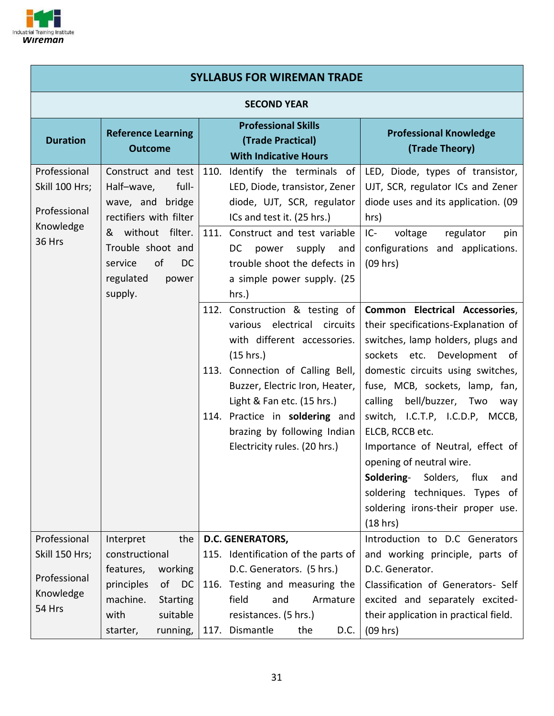

| <b>SYLLABUS FOR WIREMAN TRADE</b>                                     |                                                                                                                                                                                                         |                                                                                                                                                                                                                                                                                                                                                                                 |                                                                                                                                                                                                                                                                                                                                                                                            |  |  |  |  |  |
|-----------------------------------------------------------------------|---------------------------------------------------------------------------------------------------------------------------------------------------------------------------------------------------------|---------------------------------------------------------------------------------------------------------------------------------------------------------------------------------------------------------------------------------------------------------------------------------------------------------------------------------------------------------------------------------|--------------------------------------------------------------------------------------------------------------------------------------------------------------------------------------------------------------------------------------------------------------------------------------------------------------------------------------------------------------------------------------------|--|--|--|--|--|
|                                                                       | <b>SECOND YEAR</b>                                                                                                                                                                                      |                                                                                                                                                                                                                                                                                                                                                                                 |                                                                                                                                                                                                                                                                                                                                                                                            |  |  |  |  |  |
| <b>Duration</b>                                                       | <b>Reference Learning</b><br><b>Outcome</b>                                                                                                                                                             | <b>Professional Skills</b><br>(Trade Practical)<br><b>With Indicative Hours</b>                                                                                                                                                                                                                                                                                                 | <b>Professional Knowledge</b><br>(Trade Theory)                                                                                                                                                                                                                                                                                                                                            |  |  |  |  |  |
| Professional<br>Skill 100 Hrs;<br>Professional<br>Knowledge<br>36 Hrs | Construct and test<br>Half-wave,<br>full-<br>wave, and bridge<br>rectifiers with filter<br>without filter.<br>&<br>Trouble shoot and<br>of<br>service<br><sub>DC</sub><br>regulated<br>power<br>supply. | Identify the terminals of<br>110.<br>LED, Diode, transistor, Zener<br>diode, UJT, SCR, regulator<br>ICs and test it. (25 hrs.)<br>111. Construct and test variable<br>DC<br>supply<br>power<br>and<br>trouble shoot the defects in<br>a simple power supply. (25<br>hrs.)<br>112. Construction & testing of<br>electrical<br>circuits<br>various<br>with different accessories. | LED, Diode, types of transistor,<br>UJT, SCR, regulator ICs and Zener<br>diode uses and its application. (09<br>hrs)<br>$IC -$<br>voltage<br>regulator<br>pin<br>configurations and applications.<br>(09 hrs)<br>Common Electrical Accessories,<br>their specifications-Explanation of<br>switches, lamp holders, plugs and                                                                |  |  |  |  |  |
|                                                                       |                                                                                                                                                                                                         | (15 hrs.)<br>113. Connection of Calling Bell,<br>Buzzer, Electric Iron, Heater,<br>Light & Fan etc. (15 hrs.)<br>114. Practice in soldering and<br>brazing by following Indian<br>Electricity rules. (20 hrs.)                                                                                                                                                                  | sockets etc. Development of<br>domestic circuits using switches,<br>fuse, MCB, sockets, lamp, fan,<br>bell/buzzer, Two<br>calling<br>way<br>switch, I.C.T.P, I.C.D.P, MCCB,<br>ELCB, RCCB etc.<br>Importance of Neutral, effect of<br>opening of neutral wire.<br>Soldering-<br>Solders,<br>flux<br>and<br>soldering techniques. Types of<br>soldering irons-their proper use.<br>(18 hrs) |  |  |  |  |  |
| Professional<br>Skill 150 Hrs;<br>Professional<br>Knowledge<br>54 Hrs | Interpret<br>the<br>constructional<br>working<br>features,<br>principles<br>of<br>DC<br>machine.<br><b>Starting</b><br>with<br>suitable<br>running,<br>starter,                                         | <b>D.C. GENERATORS,</b><br>115. Identification of the parts of<br>D.C. Generators. (5 hrs.)<br>116. Testing and measuring the<br>field<br>and<br>Armature<br>resistances. (5 hrs.)<br>117. Dismantle<br>the<br>D.C.                                                                                                                                                             | Introduction to D.C Generators<br>and working principle, parts of<br>D.C. Generator.<br>Classification of Generators- Self<br>excited and separately excited-<br>their application in practical field.<br>(09 hrs)                                                                                                                                                                         |  |  |  |  |  |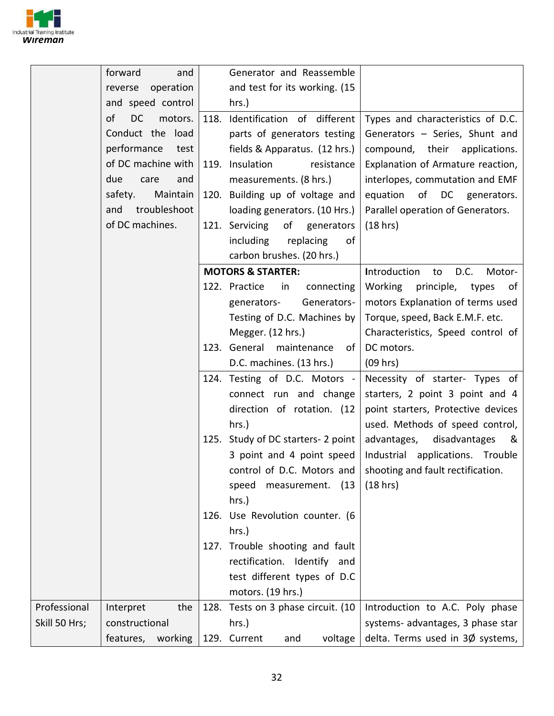

|               | forward<br>and             | Generator and Reassemble                    |                                      |
|---------------|----------------------------|---------------------------------------------|--------------------------------------|
|               | operation<br>reverse       | and test for its working. (15               |                                      |
|               | and speed control          | hrs.)                                       |                                      |
|               | of<br><b>DC</b><br>motors. | 118. Identification of different            | Types and characteristics of D.C.    |
|               | Conduct the load           | parts of generators testing                 | Generators - Series, Shunt and       |
|               | performance<br>test        | fields & Apparatus. (12 hrs.)               | compound, their applications.        |
|               | of DC machine with         | 119. Insulation<br>resistance               | Explanation of Armature reaction,    |
|               | due<br>and<br>care         | measurements. (8 hrs.)                      | interlopes, commutation and EMF      |
|               | Maintain<br>safety.        | 120. Building up of voltage and             | equation of DC generators.           |
|               | troubleshoot<br>and        | loading generators. (10 Hrs.)               | Parallel operation of Generators.    |
|               | of DC machines.            | 121. Servicing<br>of generators             | (18 hrs)                             |
|               |                            | including<br>replacing<br>of                |                                      |
|               |                            | carbon brushes. (20 hrs.)                   |                                      |
|               |                            | <b>MOTORS &amp; STARTER:</b>                | Introduction<br>D.C.<br>Motor-<br>to |
|               |                            | 122. Practice<br>in<br>connecting           | Working<br>principle, types<br>of    |
|               |                            | Generators-<br>generators-                  | motors Explanation of terms used     |
|               |                            | Testing of D.C. Machines by                 | Torque, speed, Back E.M.F. etc.      |
|               |                            | Megger. (12 hrs.)                           | Characteristics, Speed control of    |
|               |                            | 123. General maintenance<br>of <sub>1</sub> | DC motors.                           |
|               |                            | D.C. machines. (13 hrs.)                    | (09 hrs)                             |
|               |                            | 124. Testing of D.C. Motors -               | Necessity of starter- Types of       |
|               |                            | connect run and change                      | starters, 2 point 3 point and 4      |
|               |                            | direction of rotation. (12                  | point starters, Protective devices   |
|               |                            | hrs.)                                       | used. Methods of speed control,      |
|               |                            | 125. Study of DC starters- 2 point          | advantages,<br>disadvantages<br>୍ଷ   |
|               |                            | 3 point and 4 point speed                   | Industrial applications. Trouble     |
|               |                            | control of D.C. Motors and                  | shooting and fault rectification.    |
|               |                            | speed<br>measurement.<br>(13)               | (18 hrs)                             |
|               |                            | $hrs.$ )                                    |                                      |
|               |                            | 126. Use Revolution counter. (6             |                                      |
|               |                            | $hrs.$ )                                    |                                      |
|               |                            | 127. Trouble shooting and fault             |                                      |
|               |                            | rectification. Identify and                 |                                      |
|               |                            | test different types of D.C                 |                                      |
|               |                            | motors. (19 hrs.)                           |                                      |
| Professional  | Interpret<br>the           | 128. Tests on 3 phase circuit. (10          | Introduction to A.C. Poly phase      |
| Skill 50 Hrs; | constructional             | hrs.)                                       | systems- advantages, 3 phase star    |
|               | features,<br>working       | 129. Current<br>voltage<br>and              | delta. Terms used in 3Ø systems,     |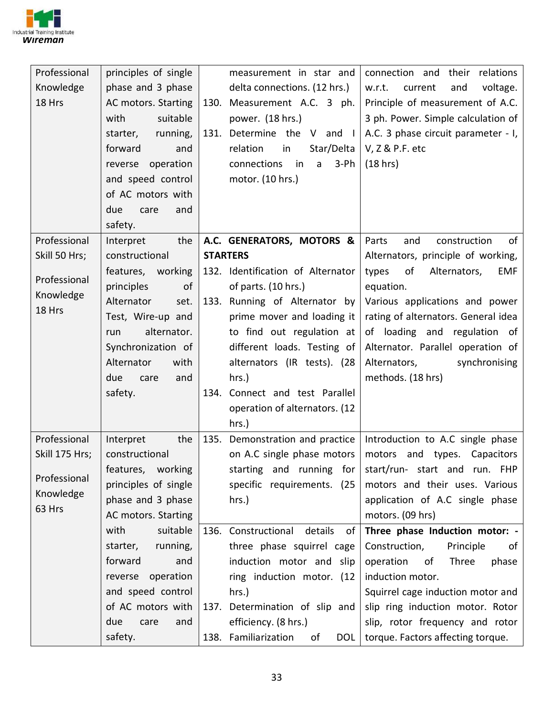

| Professional   | principles of single | measurement in star and                                           | connection and their relations       |
|----------------|----------------------|-------------------------------------------------------------------|--------------------------------------|
| Knowledge      | phase and 3 phase    | delta connections. (12 hrs.)                                      | w.r.t.<br>and<br>voltage.<br>current |
| 18 Hrs         | AC motors. Starting  | 130. Measurement A.C. 3 ph.                                       | Principle of measurement of A.C.     |
|                | with<br>suitable     | power. (18 hrs.)                                                  | 3 ph. Power. Simple calculation of   |
|                | running,<br>starter, | 131. Determine the V and I                                        | A.C. 3 phase circuit parameter - I,  |
|                | forward<br>and       | Star/Delta<br>relation<br>in                                      | V, Z & P.F. etc                      |
|                | reverse operation    | connections<br>$\overline{\mathsf{in}}$<br>$3-Ph$<br>$\mathsf{a}$ | (18 hrs)                             |
|                | and speed control    | motor. (10 hrs.)                                                  |                                      |
|                | of AC motors with    |                                                                   |                                      |
|                | due<br>care<br>and   |                                                                   |                                      |
|                | safety.              |                                                                   |                                      |
| Professional   | the<br>Interpret     | A.C. GENERATORS, MOTORS &                                         | of<br>and<br>construction<br>Parts   |
| Skill 50 Hrs;  | constructional       | <b>STARTERS</b>                                                   | Alternators, principle of working,   |
|                | features, working    | 132. Identification of Alternator                                 | of<br>types<br>Alternators,<br>EMF   |
| Professional   | principles<br>of     | of parts. (10 hrs.)                                               | equation.                            |
| Knowledge      | Alternator<br>set.   | 133. Running of Alternator by                                     | Various applications and power       |
| 18 Hrs         | Test, Wire-up and    | prime mover and loading it                                        | rating of alternators. General idea  |
|                | alternator.<br>run   | to find out regulation at                                         | of loading and regulation of         |
|                | Synchronization of   | different loads. Testing of                                       | Alternator. Parallel operation of    |
|                | Alternator<br>with   | alternators (IR tests). (28                                       | Alternators,<br>synchronising        |
|                | due<br>care<br>and   | hrs.)                                                             | methods. (18 hrs)                    |
|                | safety.              | 134. Connect and test Parallel                                    |                                      |
|                |                      | operation of alternators. (12                                     |                                      |
|                |                      | hrs.)                                                             |                                      |
| Professional   | Interpret<br>the     | 135. Demonstration and practice                                   | Introduction to A.C single phase     |
| Skill 175 Hrs; | constructional       | on A.C single phase motors                                        | motors and types. Capacitors         |
|                | features, working    | starting and running for                                          | start/run- start and run. FHP        |
| Professional   | principles of single | specific requirements. (25                                        | motors and their uses. Various       |
| Knowledge      | phase and 3 phase    | hrs.)                                                             | application of A.C single phase      |
| 63 Hrs         | AC motors. Starting  |                                                                   | motors. (09 hrs)                     |
|                | with<br>suitable     | 136. Constructional<br>details<br>of                              | Three phase Induction motor: -       |
|                | starter,<br>running, | three phase squirrel cage                                         | Construction,<br>Principle<br>of     |
|                | forward<br>and       | induction motor and slip                                          | operation<br>of<br>Three<br>phase    |
|                | reverse operation    | ring induction motor. (12                                         | induction motor.                     |
|                | and speed control    | hrs.)                                                             | Squirrel cage induction motor and    |
|                | of AC motors with    | 137. Determination of slip and                                    | slip ring induction motor. Rotor     |
|                | due<br>and<br>care   | efficiency. (8 hrs.)                                              | slip, rotor frequency and rotor      |
|                | safety.              | 138. Familiarization<br>of<br>DOL                                 | torque. Factors affecting torque.    |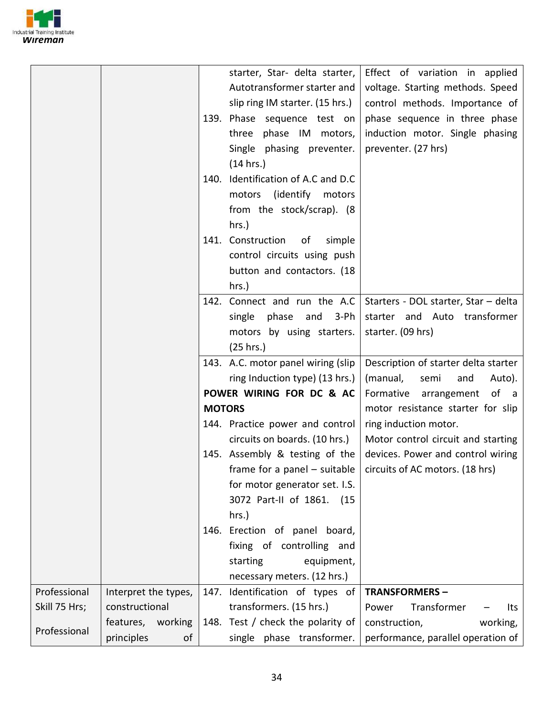

|               |                      |               | starter, Star- delta starter,<br>Autotransformer starter and<br>slip ring IM starter. (15 hrs.)<br>139. Phase sequence test on<br>three phase IM motors,<br>Single phasing preventer.<br>(14 hrs.)<br>140. Identification of A.C and D.C<br>(identify)<br>motors<br>motors<br>from the stock/scrap). (8<br>$hrs.$ ) | Effect of variation in applied<br>voltage. Starting methods. Speed<br>control methods. Importance of<br>phase sequence in three phase<br>induction motor. Single phasing<br>preventer. (27 hrs) |
|---------------|----------------------|---------------|---------------------------------------------------------------------------------------------------------------------------------------------------------------------------------------------------------------------------------------------------------------------------------------------------------------------|-------------------------------------------------------------------------------------------------------------------------------------------------------------------------------------------------|
|               |                      |               | 141. Construction<br>of<br>simple<br>control circuits using push<br>button and contactors. (18<br>hrs.)                                                                                                                                                                                                             |                                                                                                                                                                                                 |
|               |                      |               | 142. Connect and run the A.C  <br>phase and<br>3-Ph<br>single<br>motors by using starters.<br>(25 hrs.)                                                                                                                                                                                                             | Starters - DOL starter, Star - delta<br>starter and Auto transformer<br>starter. (09 hrs)                                                                                                       |
|               |                      |               | 143. A.C. motor panel wiring (slip<br>ring Induction type) (13 hrs.)                                                                                                                                                                                                                                                | Description of starter delta starter<br>(manual,<br>semi<br>and<br>Auto).                                                                                                                       |
|               |                      | <b>MOTORS</b> | POWER WIRING FOR DC & AC                                                                                                                                                                                                                                                                                            | Formative arrangement<br>of a<br>motor resistance starter for slip                                                                                                                              |
|               |                      |               | 144. Practice power and control<br>circuits on boards. (10 hrs.)                                                                                                                                                                                                                                                    | ring induction motor.<br>Motor control circuit and starting                                                                                                                                     |
|               |                      |               | 145. Assembly & testing of the<br>for motor generator set. I.S.<br>3072 Part-II of 1861. (15<br>hrs.)                                                                                                                                                                                                               | devices. Power and control wiring<br>frame for a panel – suitable $\vert$ circuits of AC motors. (18 hrs)                                                                                       |
|               |                      |               | 146. Erection of panel board,<br>fixing of controlling and<br>starting<br>equipment,<br>necessary meters. (12 hrs.)                                                                                                                                                                                                 |                                                                                                                                                                                                 |
| Professional  | Interpret the types, |               | 147. Identification of types of                                                                                                                                                                                                                                                                                     | <b>TRANSFORMERS-</b>                                                                                                                                                                            |
| Skill 75 Hrs; | constructional       |               | transformers. (15 hrs.)                                                                                                                                                                                                                                                                                             | Transformer<br>Power<br>Its                                                                                                                                                                     |
|               | features, working    |               | 148. Test / check the polarity of                                                                                                                                                                                                                                                                                   | construction,<br>working,                                                                                                                                                                       |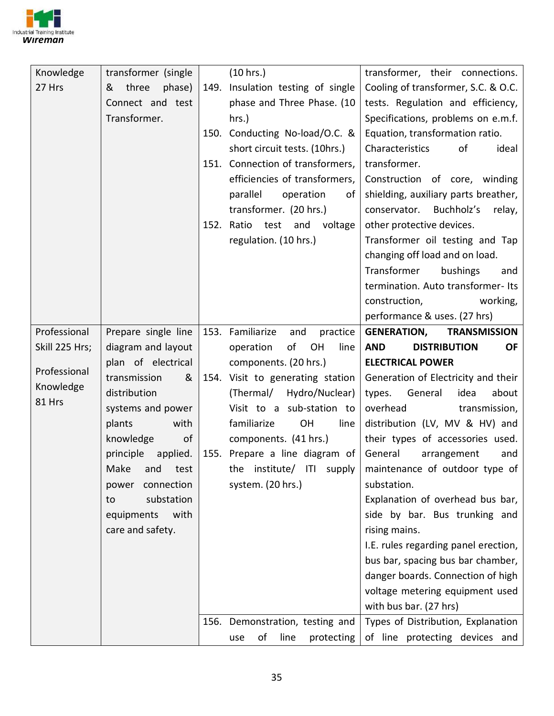

| Knowledge      | transformer (single   | (10 hrs.)                           | transformer, their connections.                                      |
|----------------|-----------------------|-------------------------------------|----------------------------------------------------------------------|
| 27 Hrs         | three<br>phase)<br>&  | 149. Insulation testing of single   | Cooling of transformer, S.C. & O.C.                                  |
|                | Connect and test      | phase and Three Phase. (10          | tests. Regulation and efficiency,                                    |
|                | Transformer.          | $hrs.$ )                            | Specifications, problems on e.m.f.                                   |
|                |                       | 150. Conducting No-load/O.C. &      | Equation, transformation ratio.                                      |
|                |                       | short circuit tests. (10hrs.)       | of<br>Characteristics<br>ideal                                       |
|                |                       | 151. Connection of transformers,    | transformer.                                                         |
|                |                       | efficiencies of transformers,       | Construction of core, winding                                        |
|                |                       | parallel<br>operation<br>of         | shielding, auxiliary parts breather,                                 |
|                |                       | transformer. (20 hrs.)              | Buchholz's<br>conservator.<br>relay,                                 |
|                |                       | 152. Ratio test and voltage         | other protective devices.                                            |
|                |                       | regulation. (10 hrs.)               | Transformer oil testing and Tap                                      |
|                |                       |                                     | changing off load and on load.                                       |
|                |                       |                                     | Transformer<br>bushings<br>and                                       |
|                |                       |                                     | termination. Auto transformer-Its                                    |
|                |                       |                                     | working,<br>construction,                                            |
|                |                       |                                     | performance & uses. (27 hrs)                                         |
| Professional   | Prepare single line   | 153. Familiarize<br>and<br>practice | <b>GENERATION,</b><br><b>TRANSMISSION</b>                            |
| Skill 225 Hrs; | diagram and layout    | of<br>OH<br>operation<br>line       | <b>AND</b><br><b>DISTRIBUTION</b><br><b>OF</b>                       |
|                |                       |                                     |                                                                      |
|                | plan of electrical    | components. (20 hrs.)               | <b>ELECTRICAL POWER</b>                                              |
| Professional   | transmission<br>&     | 154. Visit to generating station    | Generation of Electricity and their                                  |
| Knowledge      | distribution          | (Thermal/<br>Hydro/Nuclear)         | types.<br>idea<br>General<br>about                                   |
| 81 Hrs         | systems and power     | Visit to a sub-station to           | overhead<br>transmission,                                            |
|                | with<br>plants        | familiarize<br>OH<br>line           | distribution (LV, MV & HV) and                                       |
|                | knowledge<br>of       | components. (41 hrs.)               | their types of accessories used.                                     |
|                | principle<br>applied. | 155. Prepare a line diagram of      | General<br>arrangement<br>and                                        |
|                | and test<br>Make      | the institute/ ITI supply           | maintenance of outdoor type of                                       |
|                | connection<br>power   | system. (20 hrs.)                   | substation.                                                          |
|                | substation<br>to      |                                     | Explanation of overhead bus bar,                                     |
|                | with<br>equipments    |                                     | side by bar. Bus trunking and                                        |
|                | care and safety.      |                                     | rising mains.                                                        |
|                |                       |                                     | I.E. rules regarding panel erection,                                 |
|                |                       |                                     | bus bar, spacing bus bar chamber,                                    |
|                |                       |                                     | danger boards. Connection of high                                    |
|                |                       |                                     | voltage metering equipment used                                      |
|                |                       |                                     | with bus bar. (27 hrs)                                               |
|                |                       | 156. Demonstration, testing and     | Types of Distribution, Explanation<br>of line protecting devices and |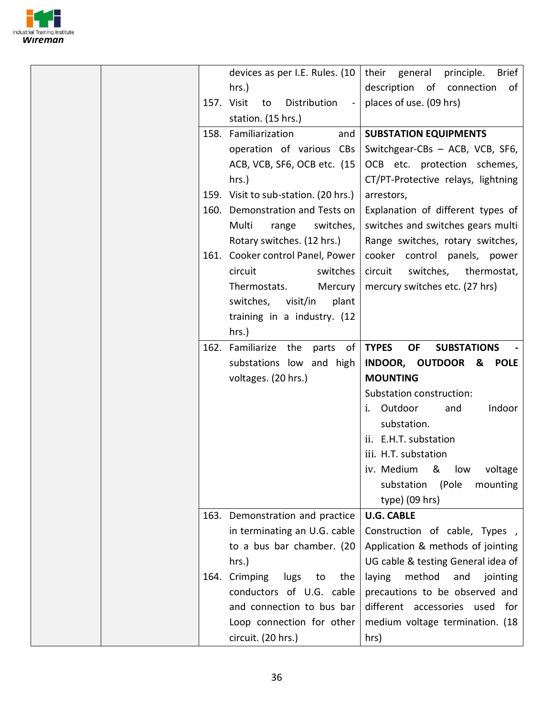

|  | devices as per I.E. Rules. (10                  | <b>Brief</b><br>their general<br>principle.     |
|--|-------------------------------------------------|-------------------------------------------------|
|  | hrs.)                                           | description of connection<br>of                 |
|  | 157. Visit<br>Distribution<br>to<br>$\sim$ $-$  | places of use. (09 hrs)                         |
|  | station. (15 hrs.)                              |                                                 |
|  | 158. Familiarization<br>and                     | <b>SUBSTATION EQUIPMENTS</b>                    |
|  | operation of various CBs                        | Switchgear-CBs - ACB, VCB, SF6,                 |
|  | ACB, VCB, SF6, OCB etc. (15                     | OCB etc. protection schemes,                    |
|  | $hrs.$ )                                        | CT/PT-Protective relays, lightning              |
|  | 159. Visit to sub-station. (20 hrs.)            | arrestors,                                      |
|  | 160. Demonstration and Tests on                 | Explanation of different types of               |
|  | Multi<br>switches,<br>range                     | switches and switches gears multi               |
|  | Rotary switches. (12 hrs.)                      | Range switches, rotary switches,                |
|  | 161. Cooker control Panel, Power                | cooker control panels, power                    |
|  | circuit<br>switches                             | circuit<br>switches, thermostat,                |
|  | Thermostats.<br>Mercury                         | mercury switches etc. (27 hrs)                  |
|  | switches, visit/in<br>plant                     |                                                 |
|  | training in a industry. (12                     |                                                 |
|  | $hrs.$ )                                        |                                                 |
|  | 162. Familiarize the parts of                   | <b>TYPES</b><br><b>OF</b><br><b>SUBSTATIONS</b> |
|  | substations low and high                        | INDOOR, OUTDOOR & POLE                          |
|  | voltages. (20 hrs.)                             | <b>MOUNTING</b>                                 |
|  |                                                 | Substation construction:                        |
|  |                                                 | Outdoor<br>Indoor<br>i.<br>and                  |
|  |                                                 | substation.                                     |
|  |                                                 | ii. E.H.T. substation                           |
|  |                                                 |                                                 |
|  |                                                 | iii. H.T. substation                            |
|  |                                                 | &<br>low                                        |
|  |                                                 | iv. Medium<br>voltage                           |
|  |                                                 | substation<br>(Pole<br>mounting                 |
|  |                                                 | type) (09 hrs)<br><b>U.G. CABLE</b>             |
|  | 163. Demonstration and practice                 |                                                 |
|  | in terminating an U.G. cable                    | Construction of cable, Types,                   |
|  | to a bus bar chamber. (20                       | Application & methods of jointing               |
|  | hrs.)                                           | UG cable & testing General idea of              |
|  | 164. Crimping<br>lugs<br>to<br>the              | method<br>laying<br>and<br>jointing             |
|  | conductors of U.G. cable                        | precautions to be observed and                  |
|  | and connection to bus bar                       | different accessories used for                  |
|  | Loop connection for other<br>circuit. (20 hrs.) | medium voltage termination. (18<br>hrs)         |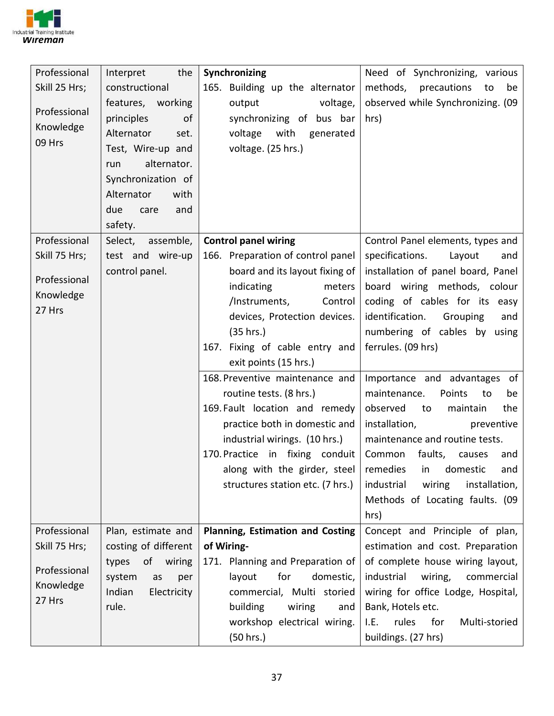

| Professional  | Interpret<br>the      | Synchronizing                     | Need of Synchronizing, various        |
|---------------|-----------------------|-----------------------------------|---------------------------------------|
| Skill 25 Hrs; | constructional        | 165. Building up the alternator   | methods, precautions<br>to<br>be      |
|               | features, working     | output<br>voltage,                | observed while Synchronizing. (09     |
| Professional  | principles<br>of      | synchronizing of bus bar          | hrs)                                  |
| Knowledge     | Alternator<br>set.    | voltage with generated            |                                       |
| 09 Hrs        | Test, Wire-up and     | voltage. (25 hrs.)                |                                       |
|               | alternator.<br>run    |                                   |                                       |
|               | Synchronization of    |                                   |                                       |
|               | Alternator<br>with    |                                   |                                       |
|               | due<br>care<br>and    |                                   |                                       |
|               | safety.               |                                   |                                       |
| Professional  | Select, assemble,     | <b>Control panel wiring</b>       | Control Panel elements, types and     |
| Skill 75 Hrs; | test and wire-up      | 166. Preparation of control panel | specifications.<br>Layout<br>and      |
| Professional  | control panel.        | board and its layout fixing of    | installation of panel board, Panel    |
| Knowledge     |                       | indicating<br>meters              | board wiring methods, colour          |
| 27 Hrs        |                       | /Instruments,<br>Control          | coding of cables for its easy         |
|               |                       | devices, Protection devices.      | identification.<br>Grouping<br>and    |
|               |                       | (35 hrs.)                         | numbering of cables by using          |
|               |                       | 167. Fixing of cable entry and    | ferrules. (09 hrs)                    |
|               |                       | exit points (15 hrs.)             |                                       |
|               |                       | 168. Preventive maintenance and   | Importance and advantages of          |
|               |                       | routine tests. (8 hrs.)           | maintenance.<br>Points<br>to<br>be    |
|               |                       | 169. Fault location and remedy    | observed<br>to<br>maintain<br>the     |
|               |                       | practice both in domestic and     | installation,<br>preventive           |
|               |                       | industrial wirings. (10 hrs.)     | maintenance and routine tests.        |
|               |                       | 170. Practice in fixing conduit   | Common<br>faults,<br>causes<br>and    |
|               |                       | along with the girder, steel      | remedies in domestic<br>and           |
|               |                       | structures station etc. (7 hrs.)  | industrial<br>wiring<br>installation, |
|               |                       |                                   | Methods of Locating faults. (09       |
|               |                       |                                   | hrs)                                  |
| Professional  | Plan, estimate and    | Planning, Estimation and Costing  | Concept and Principle of plan,        |
| Skill 75 Hrs; | costing of different  | of Wiring-                        | estimation and cost. Preparation      |
| Professional  | of wiring<br>types    | 171. Planning and Preparation of  | of complete house wiring layout,      |
| Knowledge     | system<br>as<br>per   | for<br>layout<br>domestic,        | industrial<br>wiring,<br>commercial   |
| 27 Hrs        | Indian<br>Electricity | commercial, Multi storied         | wiring for office Lodge, Hospital,    |
|               | rule.                 | building<br>wiring<br>and         | Bank, Hotels etc.                     |
|               |                       | workshop electrical wiring.       | rules<br>for<br>Multi-storied<br>I.E. |
|               |                       | (50 hrs.)                         | buildings. (27 hrs)                   |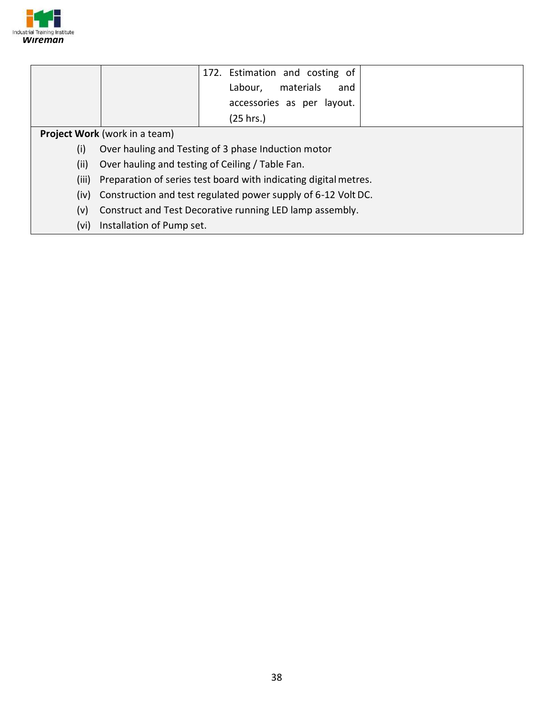

|       | 172. Estimation and costing of                                   |  |  |  |  |
|-------|------------------------------------------------------------------|--|--|--|--|
|       | materials<br>Labour,<br>and                                      |  |  |  |  |
|       | accessories as per layout.                                       |  |  |  |  |
|       | (25 hrs.)                                                        |  |  |  |  |
|       | <b>Project Work</b> (work in a team)                             |  |  |  |  |
| (i)   | Over hauling and Testing of 3 phase Induction motor              |  |  |  |  |
| (ii)  | Over hauling and testing of Ceiling / Table Fan.                 |  |  |  |  |
| (iii) | Preparation of series test board with indicating digital metres. |  |  |  |  |
| (iv)  | Construction and test regulated power supply of 6-12 Volt DC.    |  |  |  |  |
| (v)   | Construct and Test Decorative running LED lamp assembly.         |  |  |  |  |
| (vi)  | Installation of Pump set.                                        |  |  |  |  |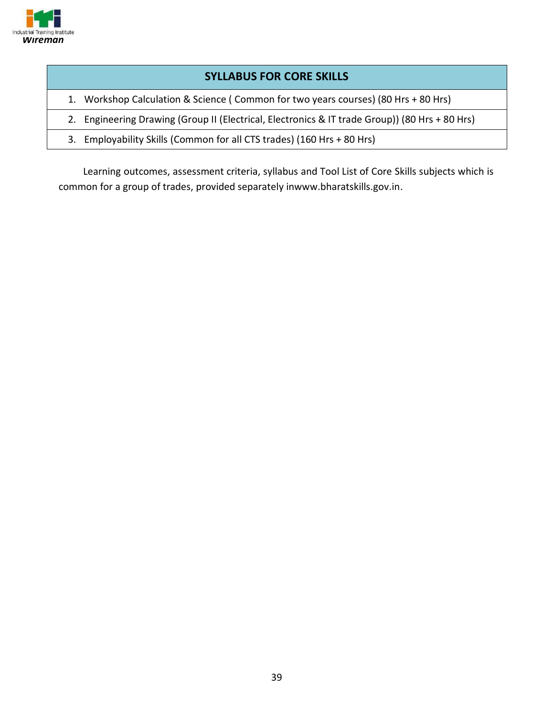

#### **SYLLABUS FOR CORE SKILLS**

- 1. Workshop Calculation & Science ( Common for two years courses) (80 Hrs + 80 Hrs)
- 2. Engineering Drawing (Group II (Electrical, Electronics & IT trade Group)) (80 Hrs + 80 Hrs)
- 3. Employability Skills (Common for all CTS trades) (160 Hrs + 80 Hrs)

Learning outcomes, assessment criteria, syllabus and Tool List of Core Skills subjects which is common for a group of trades, provided separately inwww.bharatskills.gov.in.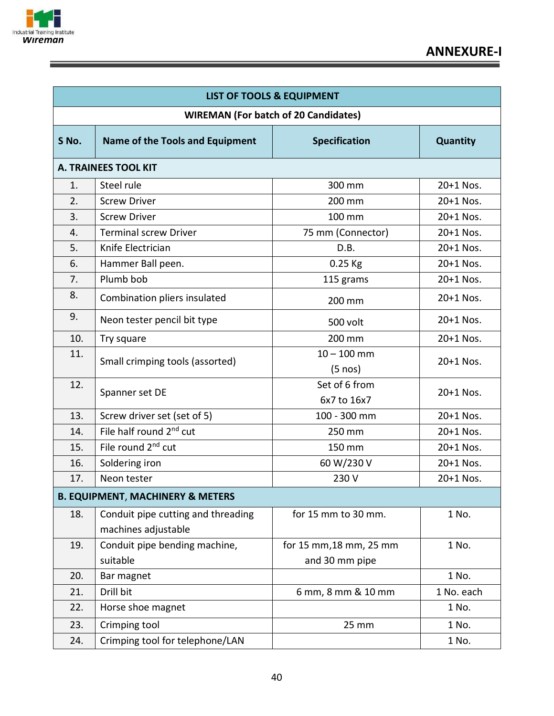

Ξ

| <b>LIST OF TOOLS &amp; EQUIPMENT</b>        |                                                           |                                    |            |  |  |  |  |  |
|---------------------------------------------|-----------------------------------------------------------|------------------------------------|------------|--|--|--|--|--|
| <b>WIREMAN (For batch of 20 Candidates)</b> |                                                           |                                    |            |  |  |  |  |  |
| S No.                                       | <b>Name of the Tools and Equipment</b>                    | <b>Specification</b>               | Quantity   |  |  |  |  |  |
|                                             | <b>A. TRAINEES TOOL KIT</b>                               |                                    |            |  |  |  |  |  |
| 1.                                          | Steel rule                                                | 300 mm                             | 20+1 Nos.  |  |  |  |  |  |
| 2.                                          | <b>Screw Driver</b>                                       | 200 mm                             | 20+1 Nos.  |  |  |  |  |  |
| 3.                                          | <b>Screw Driver</b>                                       | 100 mm                             | 20+1 Nos.  |  |  |  |  |  |
| 4.                                          | <b>Terminal screw Driver</b>                              | 75 mm (Connector)                  | 20+1 Nos.  |  |  |  |  |  |
| 5.                                          | Knife Electrician                                         | D.B.                               | 20+1 Nos.  |  |  |  |  |  |
| 6.                                          | Hammer Ball peen.                                         | 0.25 Kg                            | 20+1 Nos.  |  |  |  |  |  |
| 7.                                          | Plumb bob                                                 | 115 grams                          | 20+1 Nos.  |  |  |  |  |  |
| 8.                                          | Combination pliers insulated                              | 200 mm                             | 20+1 Nos.  |  |  |  |  |  |
| 9.                                          | Neon tester pencil bit type                               | 500 volt                           | 20+1 Nos.  |  |  |  |  |  |
| 10.                                         | Try square                                                | 200 mm                             | 20+1 Nos.  |  |  |  |  |  |
| 11.                                         | Small crimping tools (assorted)                           | $10 - 100$ mm<br>$(5 \text{ nos})$ | 20+1 Nos.  |  |  |  |  |  |
| 12.                                         | Spanner set DE                                            | Set of 6 from<br>6x7 to 16x7       | 20+1 Nos.  |  |  |  |  |  |
| 13.                                         | Screw driver set (set of 5)                               | 100 - 300 mm                       | 20+1 Nos.  |  |  |  |  |  |
| 14.                                         | File half round 2 <sup>nd</sup> cut                       | 250 mm                             | 20+1 Nos.  |  |  |  |  |  |
| 15.                                         | File round 2 <sup>nd</sup> cut                            | 150 mm                             | 20+1 Nos.  |  |  |  |  |  |
| 16.                                         | Soldering iron                                            | 60 W/230 V                         | 20+1 Nos.  |  |  |  |  |  |
| 17.                                         | Neon tester                                               | 230 V                              | 20+1 Nos.  |  |  |  |  |  |
|                                             | <b>B. EQUIPMENT, MACHINERY &amp; METERS</b>               |                                    |            |  |  |  |  |  |
| 18.                                         | Conduit pipe cutting and threading<br>machines adjustable | for 15 mm to 30 mm.                | 1 No.      |  |  |  |  |  |
| 19.                                         | Conduit pipe bending machine,                             | for 15 mm, 18 mm, 25 mm            | 1 No.      |  |  |  |  |  |
|                                             | suitable                                                  | and 30 mm pipe                     |            |  |  |  |  |  |
| 20.                                         | Bar magnet                                                |                                    | 1 No.      |  |  |  |  |  |
| 21.                                         | Drill bit                                                 | 6 mm, 8 mm & 10 mm                 | 1 No. each |  |  |  |  |  |
| 22.                                         | Horse shoe magnet                                         |                                    | 1 No.      |  |  |  |  |  |
| 23.                                         | Crimping tool                                             | 25 mm                              | 1 No.      |  |  |  |  |  |
| 24.                                         | Crimping tool for telephone/LAN                           |                                    | 1 No.      |  |  |  |  |  |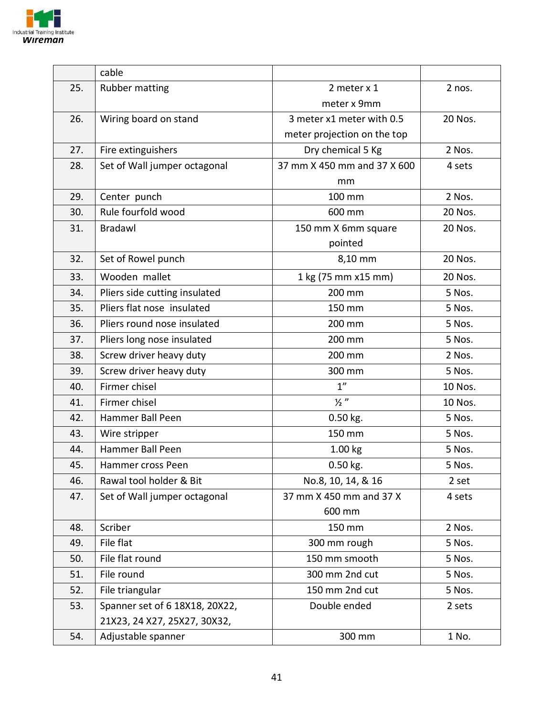

|     | cable                          |                             |         |
|-----|--------------------------------|-----------------------------|---------|
| 25. | Rubber matting                 | 2 meter x 1                 | 2 nos.  |
|     |                                | meter x 9mm                 |         |
| 26. | Wiring board on stand          | 3 meter x1 meter with 0.5   | 20 Nos. |
|     |                                | meter projection on the top |         |
| 27. | Fire extinguishers             | Dry chemical 5 Kg           | 2 Nos.  |
| 28. | Set of Wall jumper octagonal   | 37 mm X 450 mm and 37 X 600 | 4 sets  |
|     |                                | mm                          |         |
| 29. | Center punch                   | 100 mm                      | 2 Nos.  |
| 30. | Rule fourfold wood             | 600 mm                      | 20 Nos. |
| 31. | <b>Bradawl</b>                 | 150 mm X 6mm square         | 20 Nos. |
|     |                                | pointed                     |         |
| 32. | Set of Rowel punch             | 8,10 mm                     | 20 Nos. |
| 33. | Wooden mallet                  | 1 kg (75 mm x15 mm)         | 20 Nos. |
| 34. | Pliers side cutting insulated  | 200 mm                      | 5 Nos.  |
| 35. | Pliers flat nose insulated     | 150 mm                      | 5 Nos.  |
| 36. | Pliers round nose insulated    | 200 mm                      | 5 Nos.  |
| 37. | Pliers long nose insulated     | 200 mm                      | 5 Nos.  |
| 38. | Screw driver heavy duty        | 200 mm                      | 2 Nos.  |
| 39. | Screw driver heavy duty        | 300 mm                      | 5 Nos.  |
| 40. | Firmer chisel                  | 1 <sup>''</sup>             | 10 Nos. |
| 41. | Firmer chisel                  | $\frac{1}{2}$ "             | 10 Nos. |
| 42. | Hammer Ball Peen               | 0.50 kg.                    | 5 Nos.  |
| 43. | Wire stripper                  | 150 mm                      | 5 Nos.  |
| 44. | Hammer Ball Peen               | 1.00 kg                     | 5 Nos.  |
| 45. | Hammer cross Peen              | 0.50 kg.                    | 5 Nos.  |
| 46. | Rawal tool holder & Bit        | No.8, 10, 14, & 16          | 2 set   |
| 47. | Set of Wall jumper octagonal   | 37 mm X 450 mm and 37 X     | 4 sets  |
|     |                                | 600 mm                      |         |
| 48. | Scriber                        | 150 mm                      | 2 Nos.  |
| 49. | File flat                      | 300 mm rough                | 5 Nos.  |
| 50. | File flat round                | 150 mm smooth               | 5 Nos.  |
| 51. | File round                     | 300 mm 2nd cut              | 5 Nos.  |
| 52. | File triangular                | 150 mm 2nd cut              | 5 Nos.  |
| 53. | Spanner set of 6 18X18, 20X22, | Double ended                | 2 sets  |
|     | 21X23, 24 X27, 25X27, 30X32,   |                             |         |
| 54. | Adjustable spanner             | 300 mm                      | 1 No.   |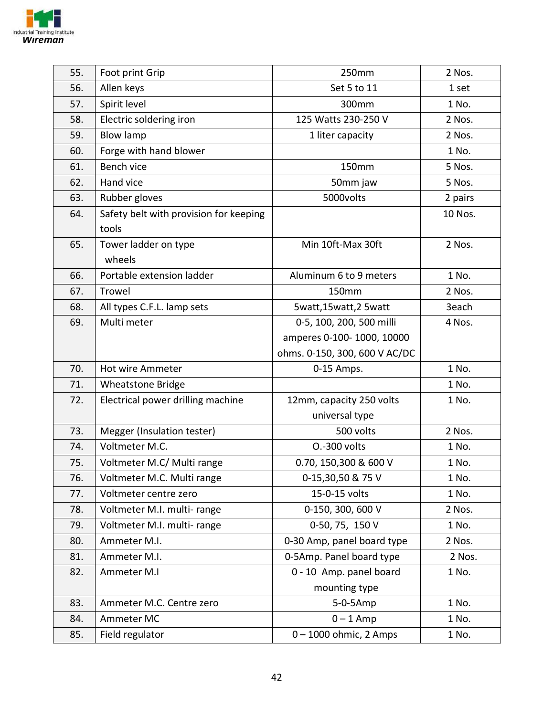

| 55. | Foot print Grip                        | 250mm                         | 2 Nos.  |
|-----|----------------------------------------|-------------------------------|---------|
| 56. | Allen keys                             | Set 5 to 11                   | 1 set   |
| 57. | Spirit level                           | 300mm                         | 1 No.   |
| 58. | Electric soldering iron                | 125 Watts 230-250 V           | 2 Nos.  |
| 59. | <b>Blow lamp</b>                       | 1 liter capacity              | 2 Nos.  |
| 60. | Forge with hand blower                 |                               | 1 No.   |
| 61. | <b>Bench vice</b>                      | 150mm                         | 5 Nos.  |
| 62. | Hand vice                              | 50mm jaw                      | 5 Nos.  |
| 63. | Rubber gloves                          | 5000volts                     | 2 pairs |
| 64. | Safety belt with provision for keeping |                               | 10 Nos. |
|     | tools                                  |                               |         |
| 65. | Tower ladder on type                   | Min 10ft-Max 30ft             | 2 Nos.  |
|     | wheels                                 |                               |         |
| 66. | Portable extension ladder              | Aluminum 6 to 9 meters        | 1 No.   |
| 67. | Trowel                                 | 150mm                         | 2 Nos.  |
| 68. | All types C.F.L. lamp sets             | 5watt,15watt,25watt           | 3each   |
| 69. | Multi meter                            | 0-5, 100, 200, 500 milli      | 4 Nos.  |
|     |                                        | amperes 0-100- 1000, 10000    |         |
|     |                                        | ohms. 0-150, 300, 600 V AC/DC |         |
| 70. | Hot wire Ammeter                       | 0-15 Amps.                    | 1 No.   |
| 71. | <b>Wheatstone Bridge</b>               |                               | 1 No.   |
| 72. | Electrical power drilling machine      | 12mm, capacity 250 volts      | 1 No.   |
|     |                                        | universal type                |         |
| 73. | Megger (Insulation tester)             | 500 volts                     | 2 Nos.  |
| 74. | Voltmeter M.C.                         | 0.-300 volts                  | 1 No.   |
| 75. | Voltmeter M.C/ Multi range             | 0.70, 150,300 & 600 V         | 1 No.   |
| 76. | Voltmeter M.C. Multi range             | 0-15,30,50 & 75 V             | 1 No.   |
| 77. | Voltmeter centre zero                  | 15-0-15 volts                 | 1 No.   |
| 78. | Voltmeter M.I. multi-range             | 0-150, 300, 600 V             | 2 Nos.  |
| 79. | Voltmeter M.I. multi-range             | 0-50, 75, 150 V               | 1 No.   |
| 80. | Ammeter M.I.                           | 0-30 Amp, panel board type    | 2 Nos.  |
| 81. | Ammeter M.I.                           | 0-5Amp. Panel board type      | 2 Nos.  |
| 82. | Ammeter M.I                            | 0 - 10 Amp. panel board       | 1 No.   |
|     |                                        | mounting type                 |         |
| 83. | Ammeter M.C. Centre zero               | 5-0-5Amp                      | 1 No.   |
| 84. | Ammeter MC                             | $0 - 1$ Amp                   | 1 No.   |
| 85. | Field regulator                        | $0 - 1000$ ohmic, 2 Amps      | 1 No.   |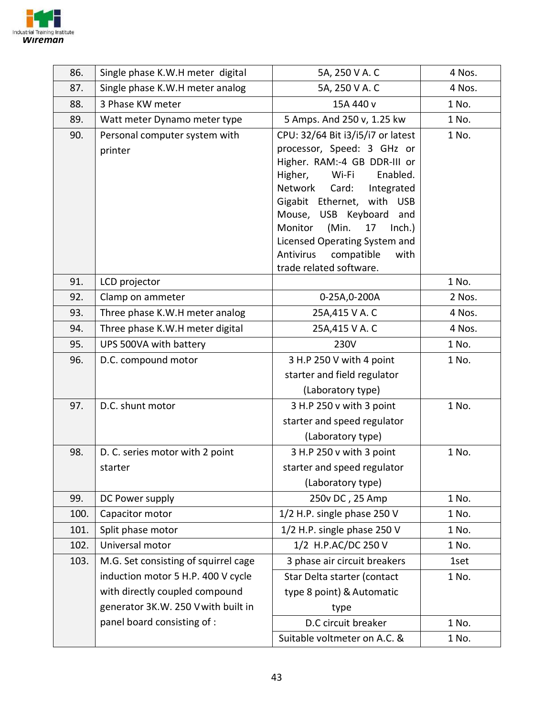

| 86.  | Single phase K.W.H meter digital     | 5A, 250 V A. C                                               | 4 Nos. |
|------|--------------------------------------|--------------------------------------------------------------|--------|
| 87.  | Single phase K.W.H meter analog      | 5A, 250 V A. C                                               | 4 Nos. |
| 88.  | 3 Phase KW meter                     | 15A 440 v                                                    | 1 No.  |
| 89.  | Watt meter Dynamo meter type         | 5 Amps. And 250 v, 1.25 kw                                   | 1 No.  |
| 90.  | Personal computer system with        | CPU: 32/64 Bit i3/i5/i7 or latest                            | 1 No.  |
|      | printer                              | processor, Speed: 3 GHz or                                   |        |
|      |                                      | Higher. RAM:-4 GB DDR-III or<br>Wi-Fi<br>Enabled.<br>Higher, |        |
|      |                                      | Network<br>Integrated<br>Card:                               |        |
|      |                                      | Gigabit Ethernet, with USB                                   |        |
|      |                                      | Mouse, USB Keyboard<br>and                                   |        |
|      |                                      | (Min.<br>Monitor<br>17<br>$Inch.$ )                          |        |
|      |                                      | Licensed Operating System and                                |        |
|      |                                      | Antivirus<br>compatible<br>with                              |        |
| 91.  | LCD projector                        | trade related software.                                      | 1 No.  |
| 92.  | Clamp on ammeter                     | 0-25A,0-200A                                                 | 2 Nos. |
| 93.  | Three phase K.W.H meter analog       | 25A,415 V A. C                                               | 4 Nos. |
| 94.  | Three phase K.W.H meter digital      | 25A,415 V A. C                                               | 4 Nos. |
| 95.  | UPS 500VA with battery               | 230V                                                         | 1 No.  |
| 96.  | D.C. compound motor                  | 3 H.P 250 V with 4 point                                     | 1 No.  |
|      |                                      | starter and field regulator                                  |        |
|      |                                      | (Laboratory type)                                            |        |
| 97.  | D.C. shunt motor                     | 3 H.P 250 v with 3 point                                     | 1 No.  |
|      |                                      | starter and speed regulator                                  |        |
|      |                                      | (Laboratory type)                                            |        |
| 98.  | D. C. series motor with 2 point      | 3 H.P 250 v with 3 point                                     | 1 No.  |
|      | starter                              | starter and speed regulator                                  |        |
|      |                                      | (Laboratory type)                                            |        |
| 99.  | DC Power supply                      | 250v DC, 25 Amp                                              | 1 No.  |
| 100. | Capacitor motor                      | 1/2 H.P. single phase 250 V                                  | 1 No.  |
| 101. | Split phase motor                    | 1/2 H.P. single phase 250 V                                  | 1 No.  |
| 102. | Universal motor                      | 1/2 H.P.AC/DC 250 V                                          | 1 No.  |
| 103. | M.G. Set consisting of squirrel cage | 3 phase air circuit breakers                                 | 1set   |
|      | induction motor 5 H.P. 400 V cycle   | Star Delta starter (contact                                  | 1 No.  |
|      | with directly coupled compound       | type 8 point) & Automatic                                    |        |
|      | generator 3K.W. 250 V with built in  | type                                                         |        |
|      | panel board consisting of :          | D.C circuit breaker                                          | 1 No.  |
|      |                                      | Suitable voltmeter on A.C. &                                 | 1 No.  |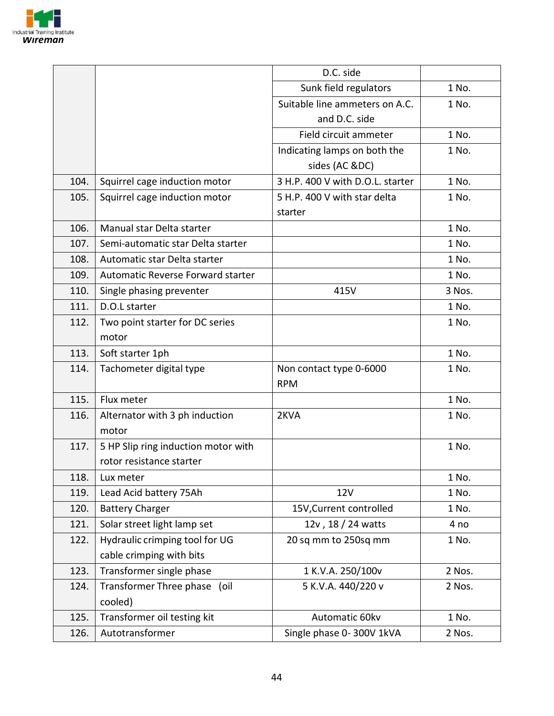

|      |                                     | D.C. side                        |        |
|------|-------------------------------------|----------------------------------|--------|
|      |                                     | Sunk field regulators            | 1 No.  |
|      |                                     | Suitable line ammeters on A.C.   | 1 No.  |
|      |                                     | and D.C. side                    |        |
|      |                                     | Field circuit ammeter            | 1 No.  |
|      |                                     | Indicating lamps on both the     | 1 No.  |
|      |                                     | sides (AC &DC)                   |        |
| 104. | Squirrel cage induction motor       | 3 H.P. 400 V with D.O.L. starter | 1 No.  |
| 105. | Squirrel cage induction motor       | 5 H.P. 400 V with star delta     | 1 No.  |
|      |                                     | starter                          |        |
| 106. | Manual star Delta starter           |                                  | 1 No.  |
| 107. | Semi-automatic star Delta starter   |                                  | 1 No.  |
| 108. | Automatic star Delta starter        |                                  | 1 No.  |
| 109. | Automatic Reverse Forward starter   |                                  | 1 No.  |
| 110. | Single phasing preventer            | 415V                             | 3 Nos. |
| 111. | D.O.L starter                       |                                  | 1 No.  |
| 112. | Two point starter for DC series     |                                  | 1 No.  |
|      | motor                               |                                  |        |
| 113. | Soft starter 1ph                    |                                  | 1 No.  |
| 114. | Tachometer digital type             | Non contact type 0-6000          | 1 No.  |
|      |                                     | <b>RPM</b>                       |        |
| 115. | Flux meter                          |                                  | 1 No.  |
| 116. | Alternator with 3 ph induction      | 2KVA                             | 1 No.  |
|      | motor                               |                                  |        |
| 117. | 5 HP Slip ring induction motor with |                                  | 1 No.  |
|      | rotor resistance starter            |                                  |        |
| 118. | Lux meter                           |                                  | 1 No.  |
| 119. | Lead Acid battery 75Ah              | <b>12V</b>                       | 1 No.  |
| 120. | <b>Battery Charger</b>              | 15V, Current controlled          | 1 No.  |
| 121. | Solar street light lamp set         | 12v, 18 / 24 watts               | 4 no   |
| 122. | Hydraulic crimping tool for UG      | 20 sq mm to 250sq mm             | 1 No.  |
|      | cable crimping with bits            |                                  |        |
| 123. | Transformer single phase            | 1 K.V.A. 250/100v                | 2 Nos. |
| 124. | Transformer Three phase (oil        | 5 K.V.A. 440/220 v               | 2 Nos. |
|      | cooled)                             |                                  |        |
| 125. | Transformer oil testing kit         | Automatic 60kv                   | 1 No.  |
| 126. | Autotransformer                     | Single phase 0-300V 1kVA         | 2 Nos. |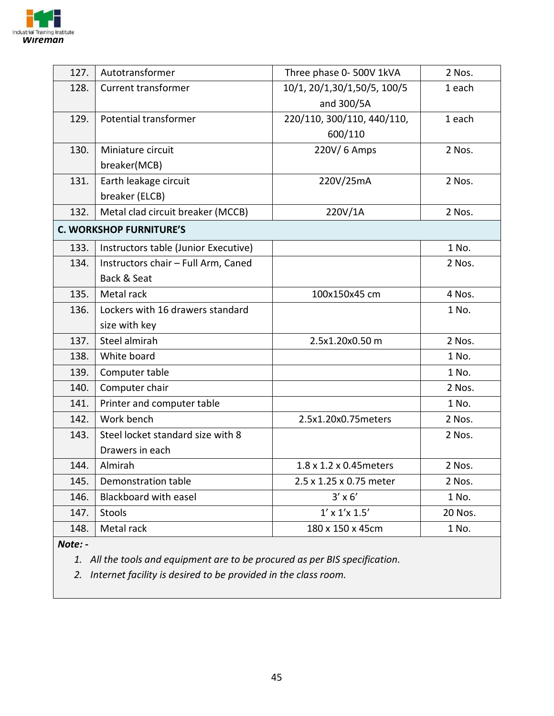

| 127.                           | Autotransformer                      | Three phase 0- 500V 1kVA            | 2 Nos.  |
|--------------------------------|--------------------------------------|-------------------------------------|---------|
| 128.                           | <b>Current transformer</b>           | 10/1, 20/1,30/1,50/5, 100/5         | 1 each  |
|                                |                                      | and 300/5A                          |         |
| 129.                           | <b>Potential transformer</b>         | 220/110, 300/110, 440/110,          | 1 each  |
|                                |                                      | 600/110                             |         |
| 130.                           | Miniature circuit                    | 220V/6 Amps                         | 2 Nos.  |
|                                | breaker(MCB)                         |                                     |         |
| 131.                           | Earth leakage circuit                | 220V/25mA                           | 2 Nos.  |
|                                | breaker (ELCB)                       |                                     |         |
| 132.                           | Metal clad circuit breaker (MCCB)    | 220V/1A                             | 2 Nos.  |
| <b>C. WORKSHOP FURNITURE'S</b> |                                      |                                     |         |
| 133.                           | Instructors table (Junior Executive) |                                     | 1 No.   |
| 134.                           | Instructors chair - Full Arm, Caned  |                                     | 2 Nos.  |
|                                | Back & Seat                          |                                     |         |
| 135.                           | Metal rack                           | 100x150x45 cm                       | 4 Nos.  |
| 136.                           | Lockers with 16 drawers standard     |                                     | 1 No.   |
|                                | size with key                        |                                     |         |
| 137.                           | Steel almirah                        | 2.5x1.20x0.50 m                     | 2 Nos.  |
| 138.                           | White board                          |                                     | 1 No.   |
| 139.                           | Computer table                       |                                     | 1 No.   |
| 140.                           | Computer chair                       |                                     | 2 Nos.  |
| 141.                           | Printer and computer table           |                                     | 1 No.   |
| 142.                           | Work bench                           | 2.5x1.20x0.75meters                 | 2 Nos.  |
| 143.                           | Steel locket standard size with 8    |                                     | 2 Nos.  |
|                                | Drawers in each                      |                                     |         |
| 144.                           | Almirah                              | $1.8 \times 1.2 \times 0.45$ meters | 2 Nos.  |
| 145.                           | Demonstration table                  | 2.5 x 1.25 x 0.75 meter             | 2 Nos.  |
| 146.                           | Blackboard with easel                | $3' \times 6'$                      | 1 No.   |
| 147.                           | <b>Stools</b>                        | $1' \times 1' \times 1.5'$          | 20 Nos. |
| 148.                           | Metal rack                           | 180 x 150 x 45cm                    | 1 No.   |
|                                |                                      |                                     |         |

*Note: -*

*1. All the tools and equipment are to be procured as per BIS specification.* 

*2. Internet facility is desired to be provided in the class room.*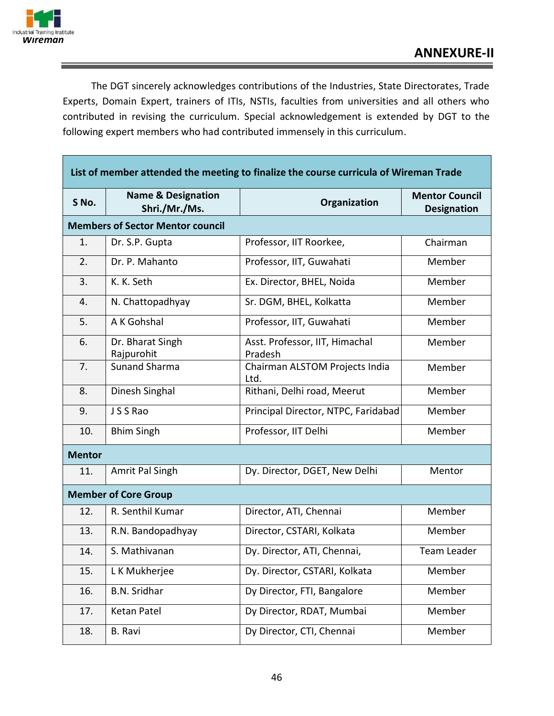

The DGT sincerely acknowledges contributions of the Industries, State Directorates, Trade Experts, Domain Expert, trainers of ITIs, NSTIs, faculties from universities and all others who contributed in revising the curriculum. Special acknowledgement is extended by DGT to the following expert members who had contributed immensely in this curriculum.

| List of member attended the meeting to finalize the course curricula of Wireman Trade |                                                |                                           |                                             |
|---------------------------------------------------------------------------------------|------------------------------------------------|-------------------------------------------|---------------------------------------------|
| S No.                                                                                 | <b>Name &amp; Designation</b><br>Shri./Mr./Ms. | Organization                              | <b>Mentor Council</b><br><b>Designation</b> |
|                                                                                       | <b>Members of Sector Mentor council</b>        |                                           |                                             |
| 1.                                                                                    | Dr. S.P. Gupta                                 | Professor, IIT Roorkee,                   | Chairman                                    |
| 2.                                                                                    | Dr. P. Mahanto                                 | Professor, IIT, Guwahati                  | Member                                      |
| 3.                                                                                    | K. K. Seth                                     | Ex. Director, BHEL, Noida                 | Member                                      |
| 4.                                                                                    | N. Chattopadhyay                               | Sr. DGM, BHEL, Kolkatta                   | Member                                      |
| 5.                                                                                    | A K Gohshal                                    | Professor, IIT, Guwahati                  | Member                                      |
| 6.                                                                                    | Dr. Bharat Singh<br>Rajpurohit                 | Asst. Professor, IIT, Himachal<br>Pradesh | Member                                      |
| 7.                                                                                    | <b>Sunand Sharma</b>                           | Chairman ALSTOM Projects India<br>Ltd.    | Member                                      |
| 8.                                                                                    | Dinesh Singhal                                 | Rithani, Delhi road, Meerut               | Member                                      |
| 9.                                                                                    | J S S Rao                                      | Principal Director, NTPC, Faridabad       | Member                                      |
| 10.                                                                                   | <b>Bhim Singh</b>                              | Professor, IIT Delhi                      | Member                                      |
| <b>Mentor</b>                                                                         |                                                |                                           |                                             |
| 11.                                                                                   | Amrit Pal Singh                                | Dy. Director, DGET, New Delhi             | Mentor                                      |
| <b>Member of Core Group</b>                                                           |                                                |                                           |                                             |
| 12.                                                                                   | R. Senthil Kumar                               | Director, ATI, Chennai                    | Member                                      |
| 13.                                                                                   | R.N. Bandopadhyay                              | Director, CSTARI, Kolkata                 | Member                                      |
| 14.                                                                                   | S. Mathivanan                                  | Dy. Director, ATI, Chennai,               | Team Leader                                 |
| 15.                                                                                   | L K Mukherjee                                  | Dy. Director, CSTARI, Kolkata             | Member                                      |
| 16.                                                                                   | <b>B.N. Sridhar</b>                            | Dy Director, FTI, Bangalore               | Member                                      |
| 17.                                                                                   | Ketan Patel                                    | Dy Director, RDAT, Mumbai                 | Member                                      |
| 18.                                                                                   | <b>B.</b> Ravi                                 | Dy Director, CTI, Chennai                 | Member                                      |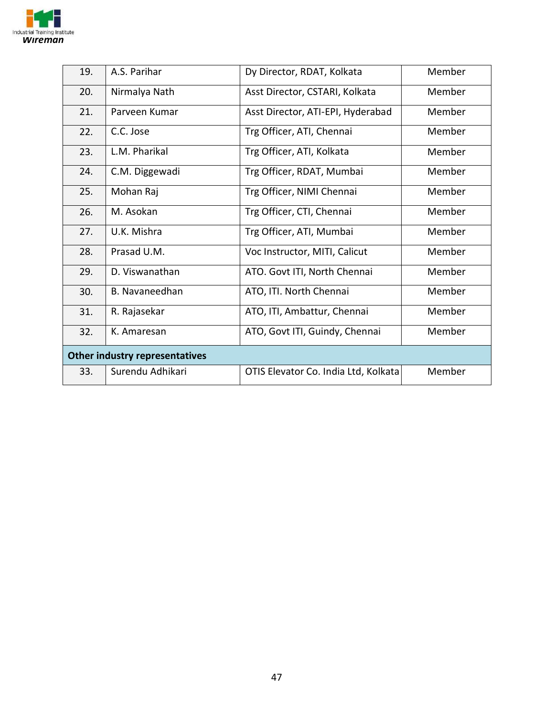

| 19.                                   | A.S. Parihar          | Dy Director, RDAT, Kolkata           | Member |
|---------------------------------------|-----------------------|--------------------------------------|--------|
| 20.                                   | Nirmalya Nath         | Asst Director, CSTARI, Kolkata       | Member |
| 21.                                   | Parveen Kumar         | Asst Director, ATI-EPI, Hyderabad    | Member |
| 22.                                   | C.C. Jose             | Trg Officer, ATI, Chennai            | Member |
| 23.                                   | L.M. Pharikal         | Trg Officer, ATI, Kolkata            | Member |
| 24.                                   | C.M. Diggewadi        | Trg Officer, RDAT, Mumbai            | Member |
| 25.                                   | Mohan Raj             | Trg Officer, NIMI Chennai            | Member |
| 26.                                   | M. Asokan             | Trg Officer, CTI, Chennai            | Member |
| 27.                                   | U.K. Mishra           | Trg Officer, ATI, Mumbai             | Member |
| 28.                                   | Prasad U.M.           | Voc Instructor, MITI, Calicut        | Member |
| 29.                                   | D. Viswanathan        | ATO. Govt ITI, North Chennai         | Member |
| 30.                                   | <b>B.</b> Navaneedhan | ATO, ITI. North Chennai              | Member |
| 31.                                   | R. Rajasekar          | ATO, ITI, Ambattur, Chennai          | Member |
| 32.                                   | K. Amaresan           | ATO, Govt ITI, Guindy, Chennai       | Member |
| <b>Other industry representatives</b> |                       |                                      |        |
| 33.                                   | Surendu Adhikari      | OTIS Elevator Co. India Ltd, Kolkata | Member |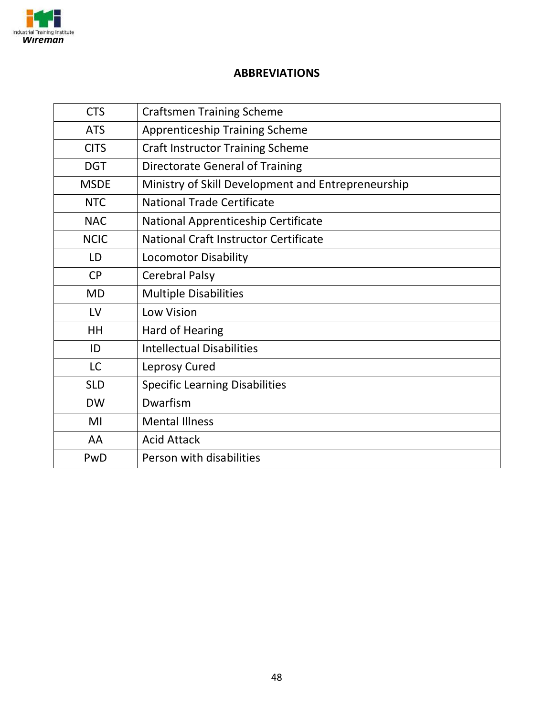

#### **ABBREVIATIONS**

| <b>CTS</b>  | <b>Craftsmen Training Scheme</b>                   |
|-------------|----------------------------------------------------|
| <b>ATS</b>  | <b>Apprenticeship Training Scheme</b>              |
| <b>CITS</b> | <b>Craft Instructor Training Scheme</b>            |
| <b>DGT</b>  | Directorate General of Training                    |
| <b>MSDE</b> | Ministry of Skill Development and Entrepreneurship |
| <b>NTC</b>  | National Trade Certificate                         |
| <b>NAC</b>  | National Apprenticeship Certificate                |
| <b>NCIC</b> | <b>National Craft Instructor Certificate</b>       |
| LD          | <b>Locomotor Disability</b>                        |
| <b>CP</b>   | <b>Cerebral Palsy</b>                              |
| <b>MD</b>   | <b>Multiple Disabilities</b>                       |
| LV          | Low Vision                                         |
| HH          | Hard of Hearing                                    |
| ID          | <b>Intellectual Disabilities</b>                   |
| <b>LC</b>   | Leprosy Cured                                      |
| <b>SLD</b>  | <b>Specific Learning Disabilities</b>              |
| <b>DW</b>   | Dwarfism                                           |
| MI          | <b>Mental Illness</b>                              |
| AA          | <b>Acid Attack</b>                                 |
| PwD         | Person with disabilities                           |